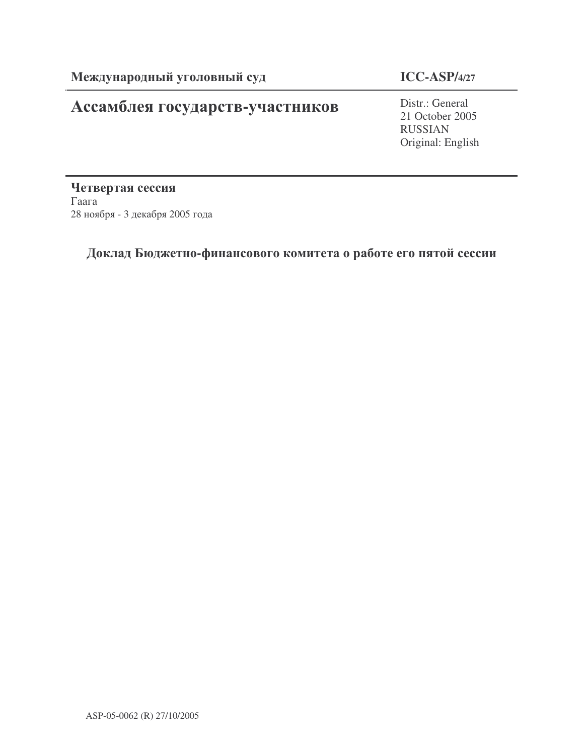# Ассамблея государств-участников

# **ICC-ASP/4/27**

Distr.: General 21 October 2005 RUSSIAN Original: English

Четвертая сессия  $\Gamma$ aara 28 ноября - 3 декабря 2005 года

# Доклад Бюджетно-финансового комитета о работе его пятой сессии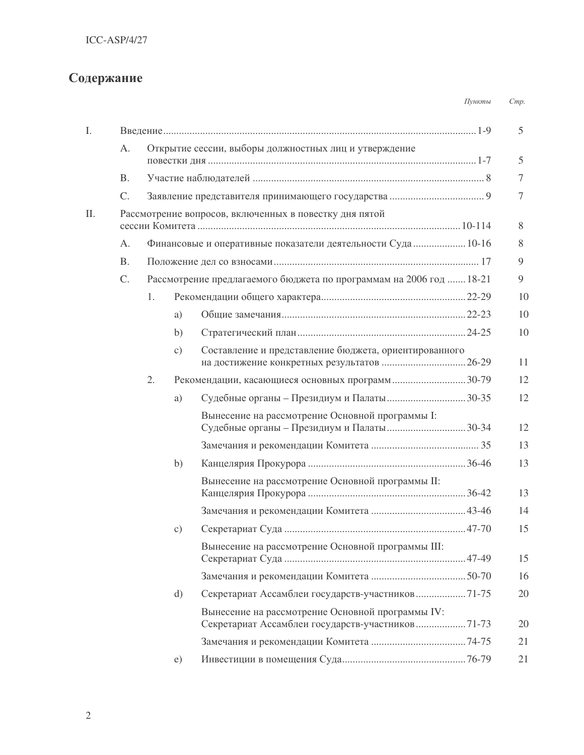# Содержание

|     |             |    |           |                                                                                                      | Пункты | Cmp.            |
|-----|-------------|----|-----------|------------------------------------------------------------------------------------------------------|--------|-----------------|
| I.  |             |    |           |                                                                                                      |        | $5\overline{)}$ |
|     | A.          |    |           | Открытие сессии, выборы должностных лиц и утверждение                                                |        |                 |
|     |             |    |           |                                                                                                      |        | 5               |
|     | <b>B.</b>   |    |           |                                                                                                      |        | 7               |
|     | C.          |    |           |                                                                                                      |        | 7               |
| II. |             |    |           | Рассмотрение вопросов, включенных в повестку дня пятой                                               |        | 8               |
|     | A.          |    |           | Финансовые и оперативные показатели деятельности Суда  10-16                                         |        | 8               |
|     | <b>B.</b>   |    |           |                                                                                                      |        | 9               |
|     | $C_{\cdot}$ |    |           | Рассмотрение предлагаемого бюджета по программам на 2006 год  18-21                                  |        | 9               |
|     |             | 1. |           |                                                                                                      |        | 10              |
|     |             |    | a)        |                                                                                                      |        | 10              |
|     |             |    | b)        |                                                                                                      |        | 10              |
|     |             |    | $\circ$ ) | Составление и представление бюджета, ориентированного                                                |        | 11              |
|     |             | 2. |           | Рекомендации, касающиеся основных программ30-79                                                      |        | 12              |
|     |             |    | a)        | Судебные органы – Президиум и Палаты30-35                                                            |        | 12              |
|     |             |    |           | Вынесение на рассмотрение Основной программы I:                                                      |        | 12              |
|     |             |    |           |                                                                                                      |        | 13              |
|     |             |    | b)        |                                                                                                      |        | 13              |
|     |             |    |           | Вынесение на рассмотрение Основной программы II:                                                     |        | 13              |
|     |             |    |           |                                                                                                      |        | 14              |
|     |             |    | c)        |                                                                                                      |        | 15              |
|     |             |    |           | Вынесение на рассмотрение Основной программы III:                                                    |        | 15              |
|     |             |    |           |                                                                                                      |        | 16              |
|     |             |    | d)        | Секретариат Ассамблеи государств-участников71-75                                                     |        | 20              |
|     |             |    |           | Вынесение на рассмотрение Основной программы IV:<br>Секретариат Ассамблеи государств-участников71-73 |        | 20              |
|     |             |    |           |                                                                                                      |        | 21              |
|     |             |    | e)        |                                                                                                      |        | 21              |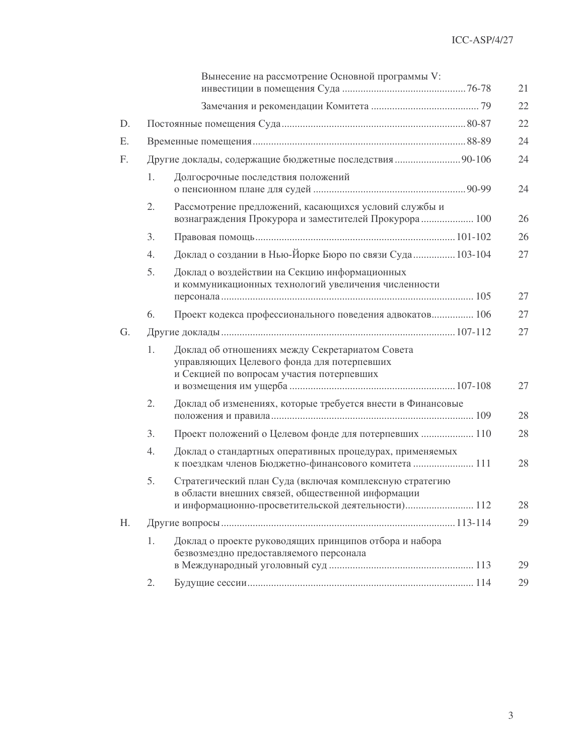| 22<br>22<br>D.<br>24<br>Ε.<br>Другие доклады, содержащие бюджетные последствия  90-106<br>24<br>F.<br>1.<br>Долгосрочные последствия положений<br>24<br>Рассмотрение предложений, касающихся условий службы и<br>2.<br>вознаграждения Прокурора и заместителей Прокурора 100<br>26<br>26<br>3.<br>Доклад о создании в Нью-Йорке Бюро по связи Суда 103-104<br>27<br>4.<br>5.<br>Доклад о воздействии на Секцию информационных<br>и коммуникационных технологий увеличения численности<br>27<br>6.<br>27<br>Проект кодекса профессионального поведения адвокатов 106<br>27<br>G.<br>Доклад об отношениях между Секретариатом Совета<br>1.<br>управляющих Целевого фонда для потерпевших<br>и Секцией по вопросам участия потерпевших<br>27<br>2.<br>Доклад об изменениях, которые требуется внести в Финансовые<br>28<br>Проект положений о Целевом фонде для потерпевших  110<br>3.<br>28<br>4.<br>Доклад о стандартных оперативных процедурах, применяемых<br>к поездкам членов Бюджетно-финансового комитета  111<br>28<br>5.<br>Стратегический план Суда (включая комплексную стратегию<br>в области внешних связей, общественной информации<br>и информационно-просветительской деятельности) 112<br>28<br>H.<br>29 |  | Вынесение на рассмотрение Основной программы V:        | 21 |
|-------------------------------------------------------------------------------------------------------------------------------------------------------------------------------------------------------------------------------------------------------------------------------------------------------------------------------------------------------------------------------------------------------------------------------------------------------------------------------------------------------------------------------------------------------------------------------------------------------------------------------------------------------------------------------------------------------------------------------------------------------------------------------------------------------------------------------------------------------------------------------------------------------------------------------------------------------------------------------------------------------------------------------------------------------------------------------------------------------------------------------------------------------------------------------------------------------------------------|--|--------------------------------------------------------|----|
|                                                                                                                                                                                                                                                                                                                                                                                                                                                                                                                                                                                                                                                                                                                                                                                                                                                                                                                                                                                                                                                                                                                                                                                                                         |  |                                                        |    |
|                                                                                                                                                                                                                                                                                                                                                                                                                                                                                                                                                                                                                                                                                                                                                                                                                                                                                                                                                                                                                                                                                                                                                                                                                         |  |                                                        |    |
|                                                                                                                                                                                                                                                                                                                                                                                                                                                                                                                                                                                                                                                                                                                                                                                                                                                                                                                                                                                                                                                                                                                                                                                                                         |  |                                                        |    |
|                                                                                                                                                                                                                                                                                                                                                                                                                                                                                                                                                                                                                                                                                                                                                                                                                                                                                                                                                                                                                                                                                                                                                                                                                         |  |                                                        |    |
|                                                                                                                                                                                                                                                                                                                                                                                                                                                                                                                                                                                                                                                                                                                                                                                                                                                                                                                                                                                                                                                                                                                                                                                                                         |  |                                                        |    |
|                                                                                                                                                                                                                                                                                                                                                                                                                                                                                                                                                                                                                                                                                                                                                                                                                                                                                                                                                                                                                                                                                                                                                                                                                         |  |                                                        |    |
|                                                                                                                                                                                                                                                                                                                                                                                                                                                                                                                                                                                                                                                                                                                                                                                                                                                                                                                                                                                                                                                                                                                                                                                                                         |  |                                                        |    |
|                                                                                                                                                                                                                                                                                                                                                                                                                                                                                                                                                                                                                                                                                                                                                                                                                                                                                                                                                                                                                                                                                                                                                                                                                         |  |                                                        |    |
|                                                                                                                                                                                                                                                                                                                                                                                                                                                                                                                                                                                                                                                                                                                                                                                                                                                                                                                                                                                                                                                                                                                                                                                                                         |  |                                                        |    |
|                                                                                                                                                                                                                                                                                                                                                                                                                                                                                                                                                                                                                                                                                                                                                                                                                                                                                                                                                                                                                                                                                                                                                                                                                         |  |                                                        |    |
|                                                                                                                                                                                                                                                                                                                                                                                                                                                                                                                                                                                                                                                                                                                                                                                                                                                                                                                                                                                                                                                                                                                                                                                                                         |  |                                                        |    |
|                                                                                                                                                                                                                                                                                                                                                                                                                                                                                                                                                                                                                                                                                                                                                                                                                                                                                                                                                                                                                                                                                                                                                                                                                         |  |                                                        |    |
|                                                                                                                                                                                                                                                                                                                                                                                                                                                                                                                                                                                                                                                                                                                                                                                                                                                                                                                                                                                                                                                                                                                                                                                                                         |  |                                                        |    |
|                                                                                                                                                                                                                                                                                                                                                                                                                                                                                                                                                                                                                                                                                                                                                                                                                                                                                                                                                                                                                                                                                                                                                                                                                         |  |                                                        |    |
|                                                                                                                                                                                                                                                                                                                                                                                                                                                                                                                                                                                                                                                                                                                                                                                                                                                                                                                                                                                                                                                                                                                                                                                                                         |  |                                                        |    |
|                                                                                                                                                                                                                                                                                                                                                                                                                                                                                                                                                                                                                                                                                                                                                                                                                                                                                                                                                                                                                                                                                                                                                                                                                         |  |                                                        |    |
|                                                                                                                                                                                                                                                                                                                                                                                                                                                                                                                                                                                                                                                                                                                                                                                                                                                                                                                                                                                                                                                                                                                                                                                                                         |  |                                                        |    |
| 1.<br>безвозмездно предоставляемого персонала<br>29                                                                                                                                                                                                                                                                                                                                                                                                                                                                                                                                                                                                                                                                                                                                                                                                                                                                                                                                                                                                                                                                                                                                                                     |  | Доклад о проекте руководящих принципов отбора и набора |    |
| 2.<br>29                                                                                                                                                                                                                                                                                                                                                                                                                                                                                                                                                                                                                                                                                                                                                                                                                                                                                                                                                                                                                                                                                                                                                                                                                |  |                                                        |    |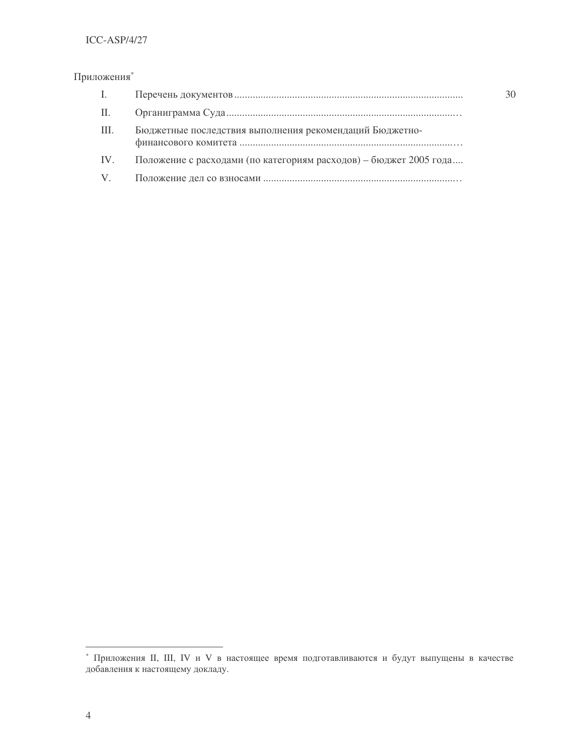# ICC-ASP/4/27

# Приложения\*

| $\mathbf{L}$ |                                                                   |
|--------------|-------------------------------------------------------------------|
| П.           |                                                                   |
| III.         | Бюджетные последствия выполнения рекомендаций Бюджетно-           |
| IV.          | Положение с расходами (по категориям расходов) – бюджет 2005 года |
| V.           |                                                                   |

30

 $^\ast$ Приложения II, III, IV и V в настоящее время подготавливаются и будут выпущены в качестве добавления к настоящему докладу.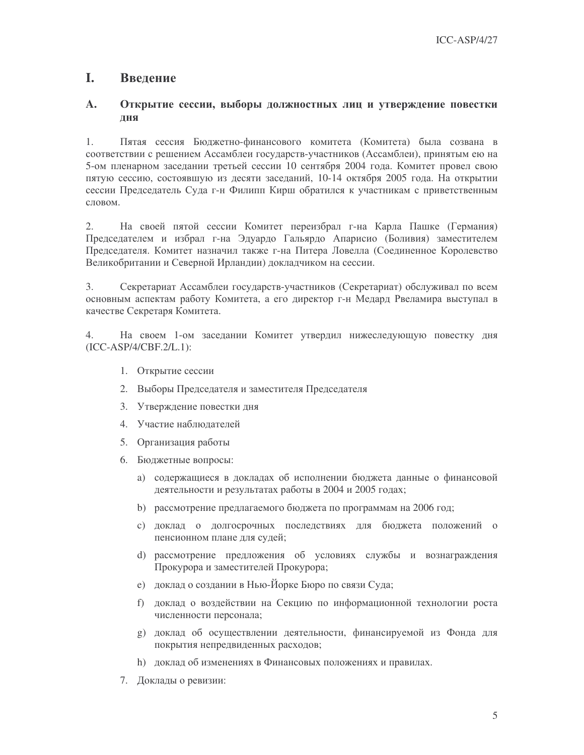#### L Введение

### $\mathbf{A}$ . Открытие сессии, выборы должностных лиц и утверждение повестки лня

Пятая сессия Бюджетно-финансового комитета (Комитета) была созвана в  $1<sup>1</sup>$ соответствии с решением Ассамблеи государств-участников (Ассамблеи), принятым ею на 5-ом пленарном заседании третьей сессии 10 сентября 2004 года. Комитет провел свою пятую сессию, состоявшую из десяти заседаний, 10-14 октября 2005 года. На открытии сессии Председатель Суда г-н Филипп Кирш обратился к участникам с приветственным словом.

 $2.$ На своей пятой сессии Комитет переизбрал г-на Карла Пашке (Германия) Председателем и избрал г-на Эдуардо Гальярдо Апарисио (Боливия) заместителем Председателя. Комитет назначил также г-на Питера Ловелла (Соединенное Королевство Великобритании и Северной Ирландии) докладчиком на сессии.

3. Секретариат Ассамблеи государств-участников (Секретариат) обслуживал по всем основным аспектам работу Комитета, а его директор г-н Медард Рвеламира выступал в качестве Секретаря Комитета.

На своем 1-ом заседании Комитет утвердил нижеследующую повестку дня 4.  $(ICC-ASP/4/CBF.2/L.1):$ 

- 1. Открытие сессии
- 2. Выборы Председателя и заместителя Председателя
- 3. Утверждение повестки дня
- 4. Участие наблюлателей
- 5. Организация работы
- 6. Бюджетные вопросы:
	- а) содержащиеся в докладах об исполнении бюджета данные о финансовой деятельности и результатах работы в 2004 и 2005 годах;
	- b) рассмотрение предлагаемого бюджета по программам на 2006 год;
	- с) доклад о долгосрочных последствиях для бюджета положений о пенсионном плане для судей;
	- d) рассмотрение предложения об условиях службы и вознаграждения Прокурора и заместителей Прокурора;
	- е) доклад о создании в Нью-Йорке Бюро по связи Суда;
	- f) доклад о воздействии на Секцию по информационной технологии роста численности персонала;
	- g) доклад об осуществлении деятельности, финансируемой из Фонда для покрытия непредвиденных расходов;
	- h) доклад об изменениях в Финансовых положениях и правилах.
- 7. Доклады о ревизии: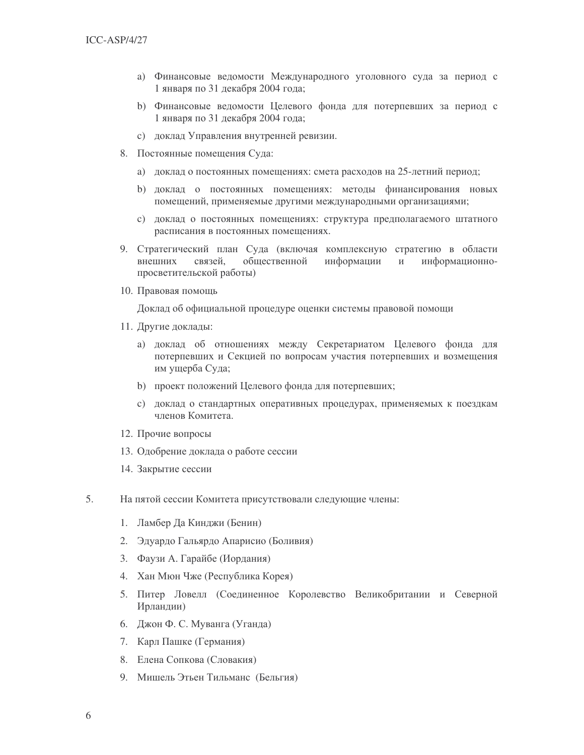- а) Финансовые ведомости Международного уголовного суда за период с 1 января по 31 декабря 2004 года;
- b) Финансовые ведомости Целевого фонда для потерпевших за период с 1 января по 31 декабря 2004 года;
- с) доклад Управления внутренней ревизии.
- 8. Постоянные помещения Суда:
	- а) доклад о постоянных помещениях: смета расходов на 25-летний период;
	- b) доклад о постоянных помещениях: методы финансирования новых помещений, применяемые другими международными организациями;
	- с) доклад о постоянных помещениях: структура предполагаемого штатного расписания в постоянных помещениях.
- 9. Стратегический план Суда (включая комплексную стратегию в области внешних связей. общественной информации  $\,$   $\,$   $\,$   $\,$ информационнопросветительской работы)
- 10. Правовая помощь

Доклад об официальной процедуре оценки системы правовой помощи

- 11. Другие доклады:
	- а) доклад об отношениях между Секретариатом Целевого фонда для потерпевших и Секцией по вопросам участия потерпевших и возмещения им ущерба Суда;
	- b) проект положений Целевого фонда для потерпевших;
	- с) доклад о стандартных оперативных процедурах, применяемых к поездкам членов Комитета.
- 12. Прочие вопросы
- 13. Одобрение доклада о работе сессии
- 14. Закрытие сессии
- 5. На пятой сессии Комитета присутствовали следующие члены:
	- 1. Ламбер Да Кинджи (Бенин)
	- 2. Эдуардо Гальярдо Апарисио (Боливия)
	- 3. Фаузи А. Гарайбе (Иордания)
	- 4. Хан Мюн Чже (Республика Корея)
	- 5. Питер Ловелл (Соединенное Королевство Великобритании и Северной Ирландии)
	- 6. Джон Ф. С. Муванга (Уганда)
	- 7. Карл Пашке (Германия)
	- 8. Елена Сопкова (Словакия)
	- 9. Мишель Этьен Тильманс (Бельгия)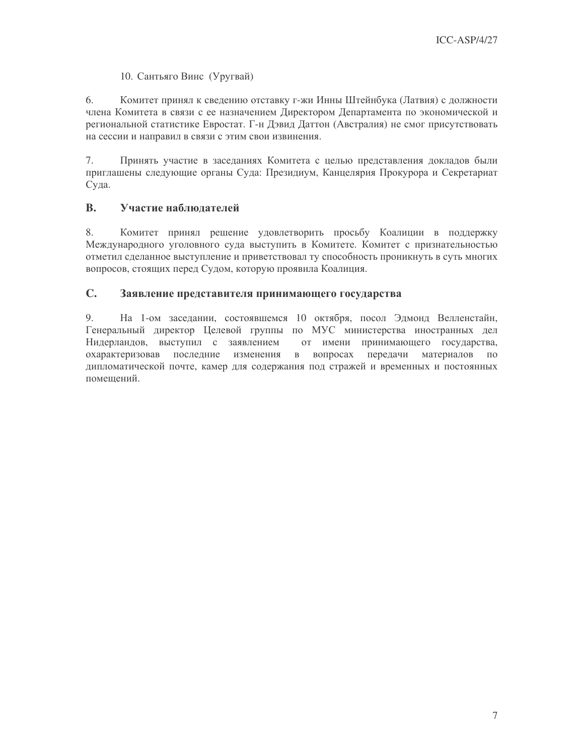# 10. Сантьяго Винс (Уругвай)

6. Комитет принял к сведению отставку г-жи Инны Штейнбука (Латвия) с должности члена Комитета в связи с ее назначением Директором Департамента по экономической и региональной статистике Евростат. Г-н Дэвид Даттон (Австралия) не смог присутствовать на сессии и направил в связи с этим свои извинения.

7. Принять участие в заседаниях Комитета с целью представления докладов были приглашены следующие органы Суда: Президиум, Канцелярия Прокурора и Секретариат Суда.

#### Участие наблюдателей **B.**

8. Комитет принял решение удовлетворить просьбу Коалиции в поддержку Международного уголовного суда выступить в Комитете. Комитет с признательностью отметил сделанное выступление и приветствовал ту способность проникнуть в суть многих вопросов, стоящих перед Судом, которую проявила Коалиция.

#### $C_{\bullet}$ Заявление представителя принимающего государства

9 На 1-ом заседании, состоявшемся 10 октября, посол Эдмонд Велленстайн, Генеральный директор Целевой группы по МУС министерства иностранных дел Нидерландов, выступил с заявлением от имени принимающего государства, охарактеризовав последние изменения в вопросах передачи материалов  $\Pi$ <sup>O</sup> дипломатической почте, камер для содержания под стражей и временных и постоянных помещений.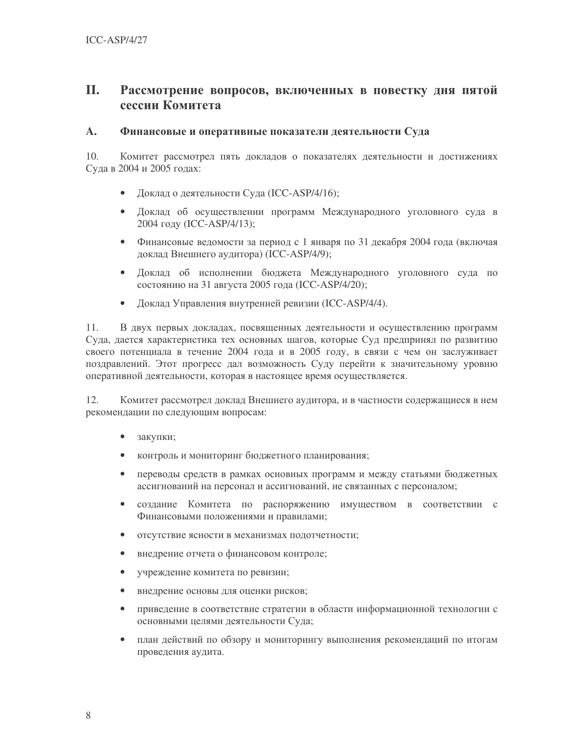### II. Рассмотрение вопросов, включенных в повестку дня пятой сессии Комитета

#### $\mathbf{A}$ . Финансовые и оперативные показатели деятельности Суда

10. Комитет рассмотрел пять докладов о показателях деятельности и достижениях Суда в 2004 и 2005 годах:

- Доклад о деятельности Суда (ICC-ASP/4/16);
- Доклад об осуществлении программ Международного уголовного суда в 2004 году (ICC-ASP/4/13);
- Финансовые ведомости за период с 1 января по 31 декабря 2004 года (включая доклад Внешнего аудитора) (ICC-ASP/4/9);
- Доклад об исполнении бюджета Международного уголовного суда по состоянию на 31 августа 2005 года (ICC-ASP/4/20);
- $\bullet$ Доклад Управления внутренней ревизии (ICC-ASP/4/4).

 $11.$ В двух первых докладах, посвященных деятельности и осуществлению программ Суда, дается характеристика тех основных шагов, которые Суд предпринял по развитию своего потенциала в течение 2004 года и в 2005 году, в связи с чем он заслуживает поздравлений. Этот прогресс дал возможность Суду перейти к значительному уровню оперативной деятельности, которая в настоящее время осуществляется.

12. Комитет рассмотрел доклад Внешнего аудитора, и в частности содержащиеся в нем рекомендации по следующим вопросам:

- закупки;
- контроль и мониторинг бюджетного планирования;  $\bullet$
- $\bullet$ переводы средств в рамках основных программ и между статьями бюджетных ассигнований на персонал и ассигнований, не связанных с персоналом;
- создание Комитета по распоряжению имуществом в соответствии с  $\bullet$ Финансовыми положениями и правилами;
- $\bullet$ отсутствие ясности в механизмах подотчетности;
- $\bullet$ внедрение отчета о финансовом контроле;
- $\bullet$ учреждение комитета по ревизии;
- $\bullet$ внедрение основы для оценки рисков;
- приведение в соответствие стратегии в области информационной технологии с  $\bullet$ основными целями деятельности Суда;
- $\bullet$ план действий по обзору и мониторингу выполнения рекомендаций по итогам проведения аудита.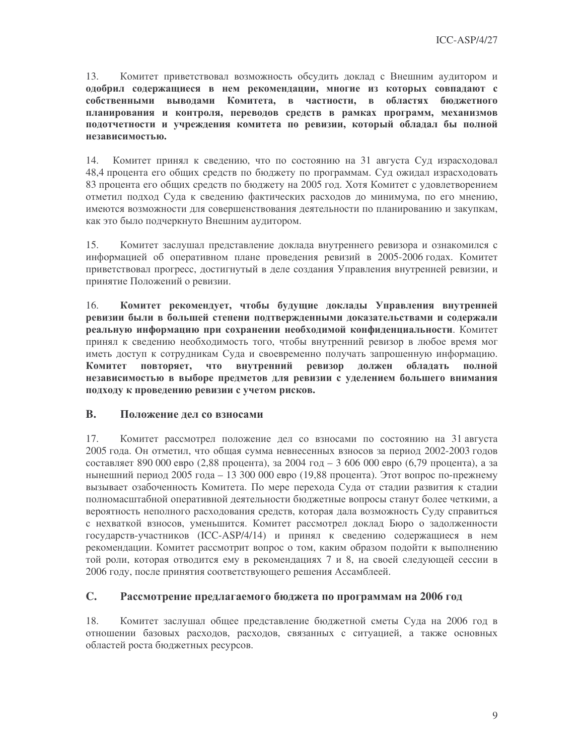Комитет приветствовал возможность обсудить доклад с Внешним аудитором и  $13<sup>7</sup>$ одобрил содержащиеся в нем рекомендации, многие из которых совпадают с собственными выводами Комитета, в частности, в областях бюджетного планирования и контроля, переводов средств в рамках программ, механизмов подотчетности и учреждения комитета по ревизии, который обладал бы полной независимостью.

14. Комитет принял к сведению, что по состоянию на 31 августа Суд израсходовал 48,4 процента его общих средств по бюджету по программам. Суд ожидал израсходовать 83 процента его общих средств по бюджету на 2005 год. Хотя Комитет с удовлетворением отметил подход Суда к сведению фактических расходов до минимума, по его мнению, имеются возможности для совершенствования деятельности по планированию и закупкам, как это было подчеркнуто Внешним аудитором.

Комитет заслушал представление доклада внутреннего ревизора и ознакомился с  $15.$ информацией об оперативном плане проведения ревизий в 2005-2006 годах. Комитет приветствовал прогресс, достигнутый в деле создания Управления внутренней ревизии, и принятие Положений о ревизии.

Комитет рекомендует, чтобы будущие доклады Управления внутренней 16. ревизии были в большей степени подтвержденными доказательствами и содержали реальную информацию при сохранении необходимой конфиденциальности. Комитет принял к сведению необходимость того, чтобы внутренний ревизор в любое время мог иметь доступ к сотрудникам Суда и своевременно получать запрошенную информацию. что внутренний ревизор Комитет повторяет, должен обладать полной независимостью в выборе предметов для ревизии с уделением большего внимания подходу к проведению ревизии с учетом рисков.

#### **B.** Положение дел со взносами

17. Комитет рассмотрел положение дел со взносами по состоянию на 31 августа 2005 года. Он отметил, что общая сумма невнесенных взносов за период 2002-2003 годов составляет 890 000 евро (2,88 процента), за 2004 год – 3 606 000 евро (6,79 процента), а за нынешний период 2005 года – 13 300 000 евро (19,88 процента). Этот вопрос по-прежнему вызывает озабоченность Комитета. По мере перехода Суда от стадии развития к стадии полномасштабной оперативной деятельности бюджетные вопросы станут более четкими, а вероятность неполного расходования средств, которая дала возможность Суду справиться с нехваткой взносов, уменьшится. Комитет рассмотрел доклад Бюро о задолженности государств-участников (ICC-ASP/4/14) и принял к сведению содержащиеся в нем рекомендации. Комитет рассмотрит вопрос о том, каким образом подойти к выполнению той роли, которая отводится ему в рекомендациях 7 и 8, на своей следующей сессии в 2006 году, после принятия соответствующего решения Ассамблеей.

#### $C_{\bullet}$ Рассмотрение предлагаемого бюджета по программам на 2006 год

18. Комитет заслушал общее представление бюджетной сметы Суда на 2006 год в отношении базовых расходов, расходов, связанных с ситуацией, а также основных областей роста бюджетных ресурсов.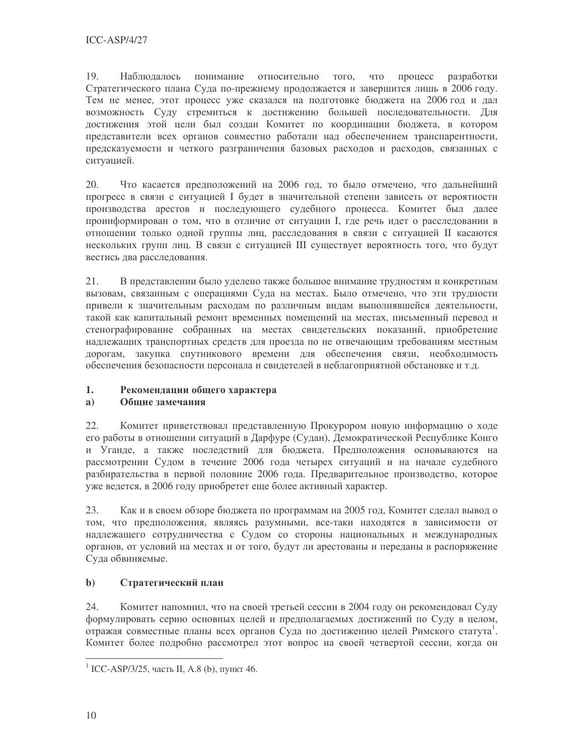19 Наблюдалось понимание относительно того, что процесс разработки Стратегического плана Суда по-прежнему продолжается и завершится лишь в 2006 году. Тем не менее, этот процесс уже сказался на подготовке бюджета на 2006 год и дал возможность Суду стремиться к достижению большей последовательности. Для достижения этой цели был создан Комитет по координации бюджета, в котором представители всех органов совместно работали над обеспечением транспарентности, предсказуемости и четкого разграничения базовых расходов и расходов, связанных с ситуацией.

20. Что касается предположений на 2006 год, то было отмечено, что дальнейший прогресс в связи с ситуацией I будет в значительной степени зависеть от вероятности производства арестов и последующего судебного процесса. Комитет был далее проинформирован о том, что в отличие от ситуации I, где речь идет о расследовании в отношении только одной группы лиц, расследования в связи с ситуацией II касаются нескольких групп лиц. В связи с ситуацией III существует вероятность того, что будут вестись два расследования.

21. В представлении было уделено также большое внимание трудностям и конкретным вызовам, связанным с операциями Суда на местах. Было отмечено, что эти трудности привели к значительным расходам по различным видам выполнявшейся деятельности, такой как капитальный ремонт временных помещений на местах, письменный перевод и стенографирование собранных на местах свидетельских показаний, приобретение надлежащих транспортных средств для проезда по не отвечающим требованиям местным дорогам, закупка спутникового времени для обеспечения связи, необходимость обеспечения безопасности персонала и свидетелей в неблагоприятной обстановке и т.д.

#### $1.$ Рекомендации общего характера

#### $a)$ Общие замечания

22. Комитет приветствовал представленную Прокурором новую информацию о ходе его работы в отношении ситуаций в Дарфуре (Судан), Демократической Республике Конго и Уганде, а также последствий для бюджета. Предположения основываются на рассмотрении Судом в течение 2006 года четырех ситуаций и на начале судебного разбирательства в первой половине 2006 года. Предварительное производство, которое уже ведется, в 2006 году приобретет еще более активный характер.

23. Как и в своем обзоре бюджета по программам на 2005 год, Комитет сделал вывод о том, что предположения, являясь разумными, все-таки находятся в зависимости от надлежащего сотрудничества с Судом со стороны национальных и международных органов, от условий на местах и от того, будут ли арестованы и переданы в распоряжение Суда обвиняемые.

#### $\mathbf{b}$ Стратегический план

24. Комитет напомнил, что на своей третьей сессии в 2004 году он рекомендовал Суду формулировать серию основных целей и предполагаемых достижений по Суду в целом, отражая совместные планы всех органов Суда по достижению целей Римского статута<sup>1</sup>. Комитет более подробно рассмотрел этот вопрос на своей четвертой сессии, когда он

<sup>&</sup>lt;sup>1</sup> ICC-ASP/3/25, часть II, А.8 (b), пункт 46.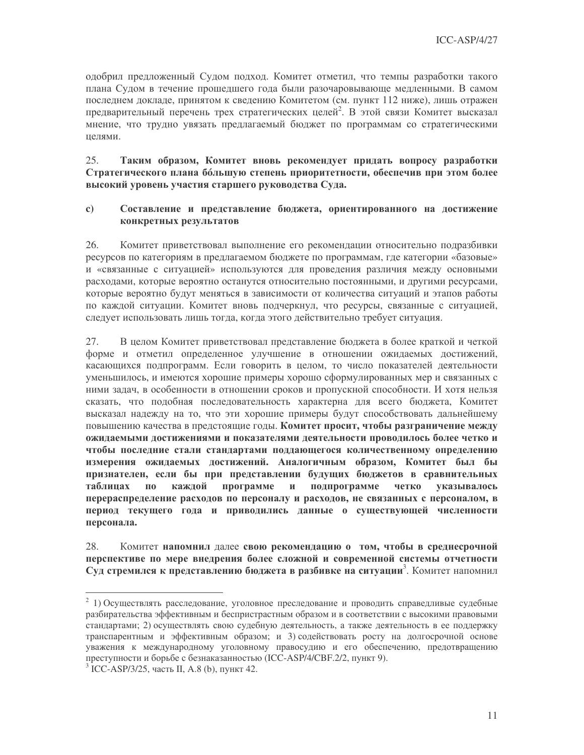одобрил предложенный Судом подход. Комитет отметил, что темпы разработки такого плана Судом в течение прошедшего года были разочаровывающе медленными. В самом последнем докладе, принятом к сведению Комитетом (см. пункт 112 ниже), лишь отражен предварительный перечень трех стратегических целей<sup>2</sup>. В этой связи Комитет высказал мнение, что трудно увязать предлагаемый бюджет по программам со стратегическими целями.

 $25$ Таким образом, Комитет вновь рекомендует придать вопросу разработки Стратегического плана большую степень приоритетности, обеспечив при этом более высокий уровень участия старшего руководства Суда.

#### $\mathbf{c})$ Составление и представление бюджета, ориентированного на достижение конкретных результатов

26 Комитет приветствовал выполнение его рекомендации относительно подразбивки ресурсов по категориям в предлагаемом бюджете по программам, где категории «базовые» и «связанные с ситуацией» используются для проведения различия между основными расходами, которые вероятно останутся относительно постоянными, и другими ресурсами, которые вероятно будут меняться в зависимости от количества ситуаций и этапов работы по каждой ситуации. Комитет вновь подчеркнул, что ресурсы, связанные с ситуацией, следует использовать лишь тогда, когда этого действительно требует ситуация.

В целом Комитет приветствовал представление бюджета в более краткой и четкой 27. форме и отметил определенное улучшение в отношении ожидаемых достижений, касающихся подпрограмм. Если говорить в целом, то число показателей деятельности уменьшилось, и имеются хорошие примеры хорошо сформулированных мер и связанных с ними залач, в особенности в отношении сроков и пропускной способности. И хотя нельзя сказать, что подобная последовательность характерна для всего бюджета, Комитет высказал надежду на то, что эти хорошие примеры будут способствовать дальнейшему повышению качества в предстоящие годы. Комитет просит, чтобы разграничение между ожидаемыми достижениями и показателями деятельности проводилось более четко и чтобы последние стали стандартами поддающегося количественному определению измерения ожидаемых достижений. Аналогичным образом, Комитет был бы признателен, если бы при представлении будущих бюджетов в сравнительных таблинах  $\Pi$ <sup>0</sup> кажлой программе  $\mathbf{M}$ подпрограмме четко указывалось перераспределение расходов по персоналу и расходов, не связанных с персоналом, в период текущего года и приводились данные о существующей численности персонала.

28. Комитет напомнил далее свою рекомендацию о том, чтобы в среднесрочной перспективе по мере внедрения более сложной и современной системы отчетности Суд стремился к представлению бюджета в разбивке на ситуации<sup>3</sup>. Комитет напомнил

 $2$  1) Осуществлять расследование, уголовное преследование и проводить справедливые судебные разбирательства эффективным и беспристрастным образом и в соответствии с высокими правовыми стандартами; 2) осуществлять свою судебную деятельность, а также деятельность в ее поддержку транспарентным и эффективным образом; и 3) содействовать росту на долгосрочной основе уважения к международному уголовному правосудию и его обеспечению, предотвращению преступности и борьбе с безнаказанностью (ICC-ASP/4/CBF.2/2, пункт 9).

<sup>&</sup>lt;sup>3</sup> ICC-ASP/3/25, часть II, A.8 (b), пункт 42.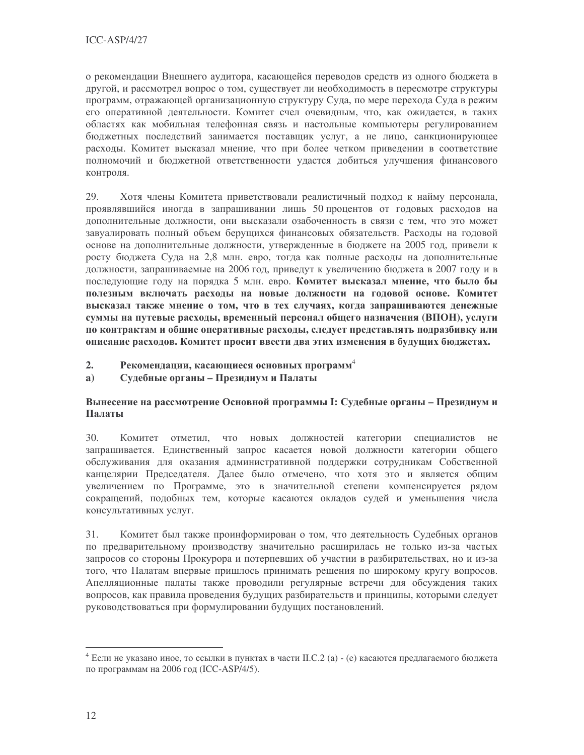о рекомендации Внешнего аудитора, касающейся переводов средств из одного бюджета в другой, и рассмотрел вопрос о том, существует ли необходимость в пересмотре структуры программ, отражающей организационную структуру Суда, по мере перехода Суда в режим его оперативной деятельности. Комитет счел очевидным, что, как ожидается, в таких областях как мобильная телефонная связь и настольные компьютеры регулированием бюджетных последствий занимается поставщик услуг, а не лицо, санкционирующее расходы. Комитет высказал мнение, что при более четком приведении в соответствие полномочий и бюджетной ответственности удастся добиться улучшения финансового контроля.

29. Хотя члены Комитета приветствовали реалистичный подход к найму персонала, проявлявшийся иногда в запрашивании лишь 50 процентов от годовых расходов на дополнительные должности, они высказали озабоченность в связи с тем, что это может завуалировать полный объем берущихся финансовых обязательств. Расходы на годовой основе на дополнительные должности, утвержденные в бюджете на 2005 год, привели к росту бюджета Суда на 2,8 млн. евро, тогда как полные расходы на дополнительные должности, запрашиваемые на 2006 год, приведут к увеличению бюджета в 2007 году и в последующие году на порядка 5 млн. евро. Комитет высказал мнение, что было бы полезным включать расходы на новые должности на годовой основе. Комитет высказал также мнение о том, что в тех случаях, когда запрашиваются денежные суммы на путевые расходы, временный персонал общего назначения (ВПОН), услуги по контрактам и общие оперативные расходы, следует представлять подразбивку или описание расходов. Комитет просит ввести два этих изменения в будущих бюджетах.

- Рекомендации, касающиеся основных программ<sup>4</sup>  $2.$
- Судебные органы Президиум и Палаты  $a)$

# Вынесение на рассмотрение Основной программы I: Судебные органы – Президиум и Палаты

 $30.$ Комитет отметил, что новых должностей категории специалистов не запрашивается. Единственный запрос касается новой должности категории общего обслуживания для оказания административной поддержки сотрудникам Собственной канцелярии Председателя. Далее было отмечено, что хотя это и является общим увеличением по Программе, это в значительной степени компенсируется рядом сокращений, подобных тем, которые касаются окладов судей и уменьшения числа консультативных услуг.

Комитет был также проинформирован о том, что деятельность Судебных органов 31. по предварительному производству значительно расширилась не только из-за частых запросов со стороны Прокурора и потерпевших об участии в разбирательствах, но и из-за того, что Палатам впервые пришлось принимать решения по широкому кругу вопросов. Апелляционные палаты также проводили регулярные встречи для обсуждения таких вопросов, как правила проведения будущих разбирательств и принципы, которыми следует руководствоваться при формулировании будущих постановлений.

<sup>&</sup>lt;sup>4</sup> Если не указано иное, то ссылки в пунктах в части II.С.2 (а) - (е) касаются предлагаемого бюджета по программам на 2006 год (ICC-ASP/4/5).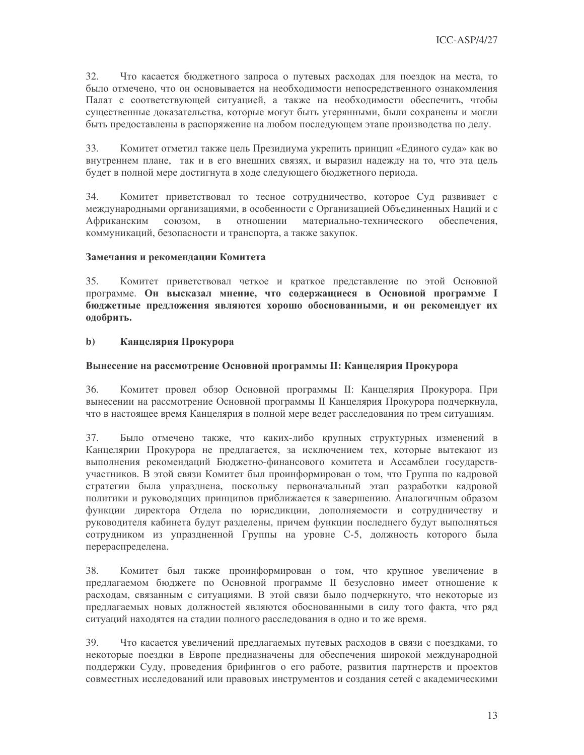$32<sub>1</sub>$ Что касается бюджетного запроса о путевых расходах для поездок на места, то было отмечено, что он основывается на необходимости непосредственного ознакомления Палат с соответствующей ситуацией, а также на необходимости обеспечить, чтобы существенные доказательства, которые могут быть утерянными, были сохранены и могли быть предоставлены в распоряжение на любом последующем этапе производства по делу.

33. Комитет отметил также цель Президиума укрепить принцип «Единого суда» как во внутреннем плане, так и в его внешних связях, и выразил надежду на то, что эта цель будет в полной мере достигнута в ходе следующего бюджетного периода.

34. Комитет приветствовал то тесное сотрудничество, которое Суд развивает с международными организациями, в особенности с Организацией Объединенных Наций и с материально-технического Африканским союзом,  $\, {\bf B} \,$ отношении обеспечения, коммуникаций, безопасности и транспорта, а также закупок.

### Замечания и рекомендации Комитета

Комитет приветствовал четкое и краткое представление по этой Основной 35. программе. Он высказал мнение, что содержащиеся в Основной программе I бюджетные предложения являются хорошо обоснованными, и он рекомендует их одобрить.

#### $\mathbf{b}$ Канцелярия Прокурора

### Вынесение на рассмотрение Основной программы II: Канцелярия Прокурора

36. Комитет провел обзор Основной программы II: Канцелярия Прокурора. При вынесении на рассмотрение Основной программы II Канцелярия Прокурора подчеркнула, что в настоящее время Канцелярия в полной мере ведет расследования по трем ситуациям.

37. Было отмечено также, что каких-либо крупных структурных изменений в Канцелярии Прокурора не предлагается, за исключением тех, которые вытекают из выполнения рекомендаций Бюджетно-финансового комитета и Ассамблеи государствучастников. В этой связи Комитет был проинформирован о том, что Группа по кадровой стратегии была упразднена, поскольку первоначальный этап разработки кадровой политики и руководящих принципов приближается к завершению. Аналогичным образом функции директора Отдела по юрисдикции, дополняемости и сотрудничеству и руководителя кабинета будут разделены, причем функции последнего будут выполняться сотрудником из упраздненной Группы на уровне С-5, должность которого была перераспределена.

38. Комитет был также проинформирован о том, что крупное увеличение в предлагаемом бюджете по Основной программе II безусловно имеет отношение к расходам, связанным с ситуациями. В этой связи было подчеркнуто, что некоторые из предлагаемых новых должностей являются обоснованными в силу того факта, что ряд ситуаций находятся на стадии полного расследования в одно и то же время.

39. Что касается увеличений предлагаемых путевых расходов в связи с поездками, то некоторые поездки в Европе предназначены для обеспечения широкой международной поддержки Суду, проведения брифингов о его работе, развития партнерств и проектов совместных исследований или правовых инструментов и создания сетей с академическими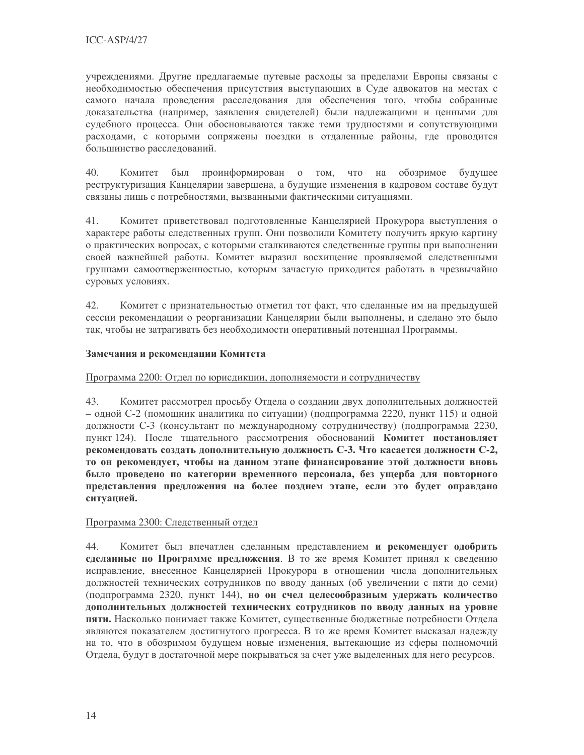учреждениями. Другие предлагаемые путевые расходы за пределами Европы связаны с необходимостью обеспечения присутствия выступающих в Суде адвокатов на местах с самого начала проведения расследования для обеспечения того, чтобы собранные доказательства (например, заявления свидетелей) были надлежащими и ценными для судебного процесса. Они обосновываются также теми трудностями и сопутствующими расходами, с которыми сопряжены поездки в отдаленные районы, где проводится большинство расследований.

40. Комитет был проинформирован о том, что на обозримое будущее реструктуризация Канцелярии завершена, а будущие изменения в кадровом составе будут связаны лишь с потребностями, вызванными фактическими ситуациями.

Комитет приветствовал подготовленные Канцелярией Прокурора выступления о 41. характере работы следственных групп. Они позволили Комитету получить яркую картину о практических вопросах, с которыми сталкиваются следственные группы при выполнении своей важнейшей работы. Комитет выразил восхищение проявляемой следственными группами самоотверженностью, которым зачастую приходится работать в чрезвычайно суровых условиях.

Комитет с признательностью отметил тот факт, что сделанные им на предыдущей 42. сессии рекомендации о реорганизации Канцелярии были выполнены, и сделано это было так, чтобы не затрагивать без необходимости оперативный потенциал Программы.

## Замечания и рекомендации Комитета

Программа 2200: Отдел по юрисдикции, дополняемости и сотрудничеству

Комитет рассмотрел просьбу Отдела о создании двух дополнительных должностей 43. – одной С-2 (помощник аналитика по ситуации) (подпрограмма 2220, пункт 115) и одной должности С-3 (консультант по международному сотрудничеству) (подпрограмма 2230, пункт 124). После тщательного рассмотрения обоснований Комитет постановляет рекомендовать создать дополнительную должность С-3. Что касается должности С-2, то он рекомендует, чтобы на данном этапе финансирование этой должности вновь было проведено по категории временного персонала, без ущерба для повторного представления предложения на более позднем этапе, если это будет оправдано ситуацией.

## Программа 2300: Следственный отдел

44. Комитет был впечатлен сделанным представлением и рекомендует одобрить сделанные по Программе предложения. В то же время Комитет принял к сведению исправление, внесенное Канцелярией Прокурора в отношении числа дополнительных должностей технических сотрудников по вводу данных (об увеличении с пяти до семи) (подпрограмма 2320, пункт 144), но он счел целесообразным удержать количество дополнительных должностей технических сотрудников по вводу данных на уровне пяти. Насколько понимает также Комитет, существенные бюджетные потребности Отдела являются показателем достигнутого прогресса. В то же время Комитет высказал надежду на то, что в обозримом будущем новые изменения, вытекающие из сферы полномочий Отдела, будут в достаточной мере покрываться за счет уже выделенных для него ресурсов.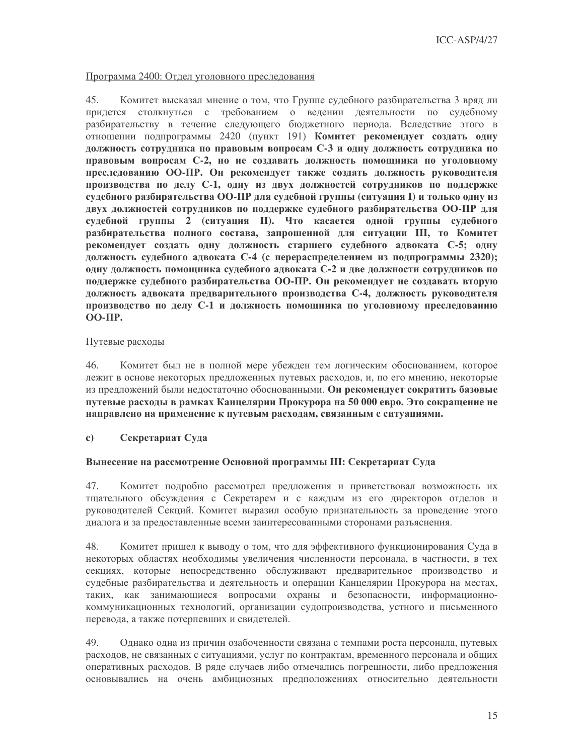### Программа 2400: Отдел уголовного преследования

45. Комитет высказал мнение о том, что Группе судебного разбирательства 3 вряд ли придется столкнуться с требованием о ведении деятельности по судебному разбирательству в течение следующего бюджетного периода. Вследствие этого в отношении подпрограммы 2420 (пункт 191) Комитет рекомендует создать одну должность сотрудника по правовым вопросам С-3 и одну должность сотрудника по правовым вопросам С-2, но не создавать должность помощника по уголовному преследованию ОО-ПР. Он рекомендует также создать должность руководителя производства по делу С-1, одну из двух должностей сотрудников по поддержке судебного разбирательства ОО-ПР для судебной группы (ситуация I) и только одну из двух должностей сотрудников по поддержке судебного разбирательства ОО-ПР для судебной группы 2 (ситуация II). Что касается одной группы судебного разбирательства полного состава, запрошенной для ситуации III, то Комитет рекомендует создать одну должность старшего судебного адвоката С-5; одну должность судебного адвоката С-4 (с перераспределением из подпрограммы 2320); одну должность помощника судебного адвоката С-2 и две должности сотрудников по поддержке судебного разбирательства ОО-ПР. Он рекомендует не создавать вторую должность адвоката предварительного производства С-4, должность руководителя производство по делу С-1 и должность помощника по уголовному преследованию  $OO-HP$ .

## Путевые расходы

Комитет был не в полной мере убежден тем логическим обоснованием, которое 46. лежит в основе некоторых предложенных путевых расходов, и, по его мнению, некоторые из предложений были недостаточно обоснованными. Он рекомендует сократить базовые путевые расходы в рамках Канцелярии Прокурора на 50 000 евро. Это сокращение не направлено на применение к путевым расходам, связанным с ситуациями.

Секретариат Суда  $\mathbf{c}$ 

## Вынесение на рассмотрение Основной программы III: Секретариат Суда

47. Комитет подробно рассмотрел предложения и приветствовал возможность их тщательного обсуждения с Секретарем и с каждым из его директоров отделов и руководителей Секций. Комитет выразил особую признательность за проведение этого диалога и за предоставленные всеми заинтересованными сторонами разъяснения.

48. Комитет пришел к выводу о том, что для эффективного функционирования Суда в некоторых областях необходимы увеличения численности персонала, в частности, в тех секциях, которые непосредственно обслуживают предварительное производство и судебные разбирательства и деятельность и операции Канцелярии Прокурора на местах, таких, как занимающиеся вопросами охраны и безопасности, информационнокоммуникационных технологий, организации судопроизводства, устного и письменного перевода, а также потерпевших и свидетелей.

49. Однако одна из причин озабоченности связана с темпами роста персонала, путевых расходов, не связанных с ситуациями, услуг по контрактам, временного персонала и общих оперативных расходов. В ряде случаев либо отмечались погрешности, либо предложения основывались на очень амбициозных предположениях относительно деятельности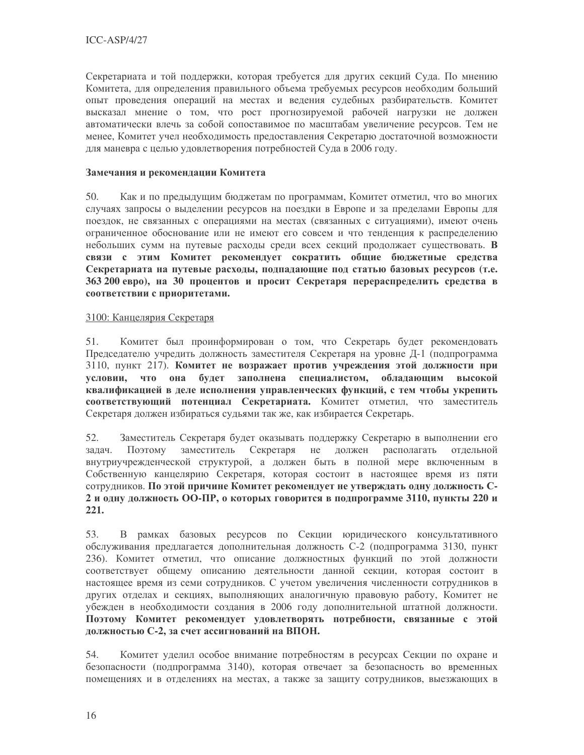Секретариата и той поддержки, которая требуется для других секций Суда. По мнению Комитета, для определения правильного объема требуемых ресурсов необходим больший опыт проведения операций на местах и ведения судебных разбирательств. Комитет высказал мнение о том, что рост прогнозируемой рабочей нагрузки не должен автоматически влечь за собой сопоставимое по масштабам увеличение ресурсов. Тем не менее, Комитет учел необходимость предоставления Секретарю достаточной возможности для маневра с целью удовлетворения потребностей Суда в 2006 году.

# Замечания и рекомендации Комитета

50. Как и по предыдущим бюджетам по программам, Комитет отметил, что во многих случаях запросы о выделении ресурсов на поездки в Европе и за пределами Европы для поездок, не связанных с операциями на местах (связанных с ситуациями), имеют очень ограниченное обоснование или не имеют его совсем и что тенденция к распределению небольших сумм на путевые расходы среди всех секций продолжает существовать. В связи с этим Комитет рекомендует сократить общие бюджетные средства Секретариата на путевые расходы, подпадающие под статью базовых ресурсов (т.е. 363 200 евро), на 30 процентов и просит Секретаря перераспределить средства в соответствии с приоритетами.

## 3100: Канцелярия Секретаря

Комитет был проинформирован о том, что Секретарь будет рекомендовать 51. Председателю учредить должность заместителя Секретаря на уровне Д-1 (подпрограмма 3110, пункт 217). Комитет не возражает против учреждения этой должности при условии, что она будет заполнена специалистом, обладающим высокой квалификацией в деле исполнения управленческих функций, с тем чтобы укрепить соответствующий потенциал Секретариата. Комитет отметил, что заместитель Секретаря должен избираться судьями так же, как избирается Секретарь.

52. Заместитель Секретаря будет оказывать поддержку Секретарю в выполнении его залач. Поэтому заместитель Секретаря не должен располагать отлельной внутриучрежденческой структурой, а должен быть в полной мере включенным в Собственную канцелярию Секретаря, которая состоит в настоящее время из пяти сотрудников. По этой причине Комитет рекомендует не утверждать одну должность С-2 и одну должность ОО-ПР, о которых говорится в подпрограмме 3110, пункты 220 и  $221.$ 

53. В рамках базовых ресурсов по Секции юридического консультативного обслуживания предлагается дополнительная должность С-2 (подпрограмма 3130, пункт 236). Комитет отметил, что описание должностных функций по этой должности соответствует общему описанию деятельности данной секции, которая состоит в настоящее время из семи сотрудников. С учетом увеличения численности сотрудников в других отделах и секциях, выполняющих аналогичную правовую работу, Комитет не убежден в необходимости создания в 2006 году дополнительной штатной должности. Поэтому Комитет рекомендует удовлетворять потребности, связанные с этой должностью С-2, за счет ассигнований на ВПОН.

Комитет уделил особое внимание потребностям в ресурсах Секции по охране и 54. безопасности (подпрограмма 3140), которая отвечает за безопасность во временных помещениях и в отделениях на местах, а также за защиту сотрудников, выезжающих в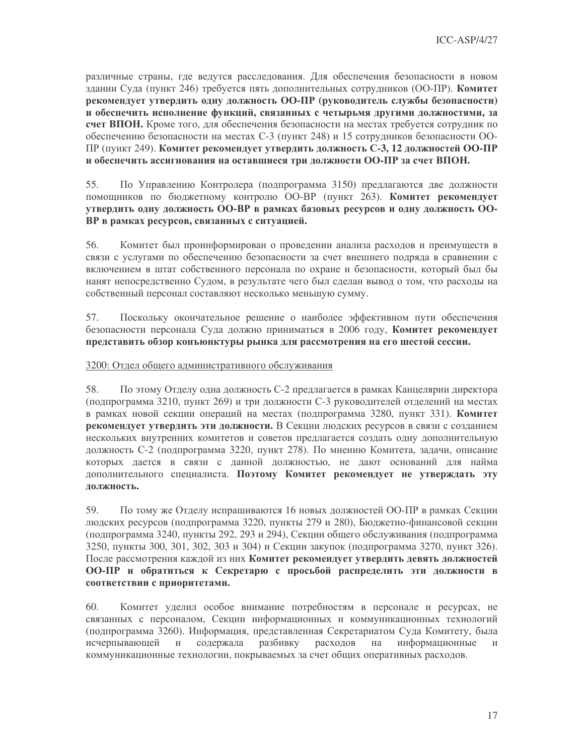различные страны, где ведутся расследования. Для обеспечения безопасности в новом здании Суда (пункт 246) требуется пять дополнительных сотрудников (ОО-ПР). Комитет рекомендует утвердить одну должность ОО-ПР (руководитель службы безопасности) и обеспечить исполнение функций, связанных с четырьмя другими должностями, за счет ВПОН. Кроме того, для обеспечения безопасности на местах требуется сотрудник по обеспечению безопасности на местах С-3 (пункт 248) и 15 сотрудников безопасности ОО-ПР (пункт 249). Комитет рекомендует утвердить должность С-3, 12 должностей ОО-ПР и обеспечить ассигнования на оставшиеся три должности ОО-ПР за счет ВПОН.

55. По Управлению Контролера (подпрограмма 3150) предлагаются две должности помощников по бюджетному контролю ОО-ВР (пункт 263). Комитет рекомендует утвердить одну должность ОО-ВР в рамках базовых ресурсов и одну должность ОО-ВР в рамках ресурсов, связанных с ситуацией.

56. Комитет был проинформирован о проведении анализа расходов и преимуществ в связи с услугами по обеспечению безопасности за счет внешнего подряда в сравнении с включением в штат собственного персонала по охране и безопасности, который был бы нанят непосредственно Судом, в результате чего был сделан вывод о том, что расходы на собственный персонал составляют несколько меньшую сумму.

Поскольку окончательное решение о наиболее эффективном пути обеспечения 57. безопасности персонала Суда должно приниматься в 2006 году. Комитет рекомендует представить обзор конъюнктуры рынка для рассмотрения на его шестой сессии.

### 3200: Отдел общего алминистративного обслуживания

58. По этому Отделу одна должность С-2 предлагается в рамках Канцелярии директора (подпрограмма 3210, пункт 269) и три должности С-3 руководителей отделений на местах в рамках новой секции операций на местах (подпрограмма 3280, пункт 331). Комитет рекомендует утвердить эти должности. В Секции людских ресурсов в связи с созданием нескольких внутренних комитетов и советов предлагается создать одну дополнительную должность С-2 (подпрограмма 3220, пункт 278). По мнению Комитета, задачи, описание которых дается в связи с данной должностью, не дают оснований для найма дополнительного специалиста. Поэтому Комитет рекомендует не утверждать эту должность.

59. По тому же Отделу испрашиваются 16 новых должностей ОО-ПР в рамках Секции людских ресурсов (подпрограмма 3220, пункты 279 и 280), Бюджетно-финансовой секции (подпрограмма 3240, пункты 292, 293 и 294), Секции общего обслуживания (подпрограмма 3250, пункты 300, 301, 302, 303 и 304) и Секции закупок (подпрограмма 3270, пункт 326). После рассмотрения каждой из них Комитет рекомендует утвердить девять должностей ОО-ПР и обратиться к Секретарю с просьбой распределить эти должности в соответствии с приоритетами.

Комитет уделил особое внимание потребностям в персонале и ресурсах, не 60. связанных с персоналом, Секции информационных и коммуникационных технологий (подпрограмма 3260). Информация, представленная Секретариатом Суда Комитету, была исчерпывающей  $\,$  M  $\,$ содержала разбивку расходов на информационные  $\mathbf{M}$ коммуникационные технологии, покрываемых за счет общих оперативных расходов.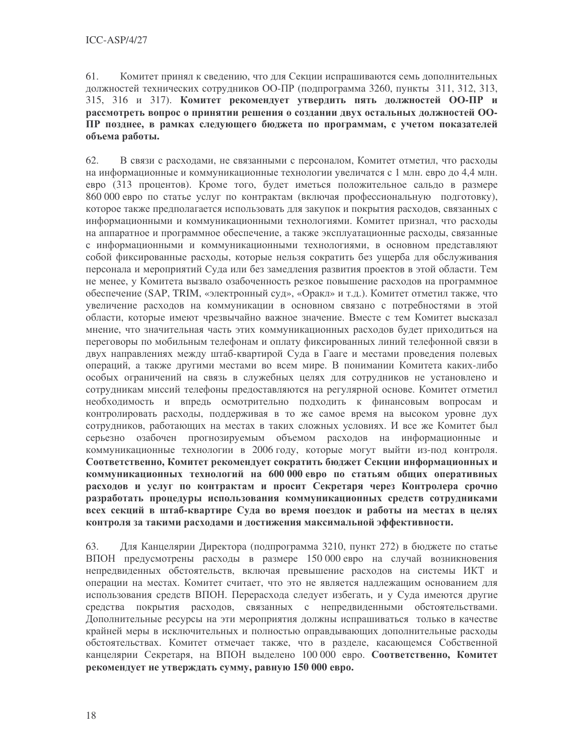61 Комитет принял к сведению, что для Секции испрашиваются семь дополнительных должностей технических сотрудников ОО-ПР (подпрограмма 3260, пункты 311, 312, 313, 315, 316 и 317). Комитет рекомендует утвердить пять должностей ОО-ПР и рассмотреть вопрос о принятии решения о создании двух остальных должностей ОО-ПР позднее, в рамках следующего бюджета по программам, с учетом показателей объема работы.

62. В связи с расходами, не связанными с персоналом, Комитет отметил, что расходы на информационные и коммуникационные технологии увеличатся с 1 млн. евро до 4,4 млн. евро (313 процентов). Кроме того, будет иметься положительное сальдо в размере 860 000 евро по статье услуг по контрактам (включая профессиональную подготовку), которое также предполагается использовать для закупок и покрытия расходов, связанных с информационными и коммуникационными технологиями. Комитет признал, что расходы на аппаратное и программное обеспечение, а также эксплуатационные расходы, связанные с информационными и коммуникационными технологиями, в основном представляют собой фиксированные расходы, которые нельзя сократить без ущерба для обслуживания персонала и мероприятий Суда или без замедления развития проектов в этой области. Тем не менее, у Комитета вызвало озабоченность резкое повышение расходов на программное обеспечение (SAP, TRIM, «электронный суд», «Оракл» и т.д.). Комитет отметил также, что увеличение расходов на коммуникации в основном связано с потребностями в этой области, которые имеют чрезвычайно важное значение. Вместе с тем Комитет высказал мнение, что значительная часть этих коммуникационных расходов будет приходиться на переговоры по мобильным телефонам и оплату фиксированных линий телефонной связи в двух направлениях между штаб-квартирой Суда в Гааге и местами проведения полевых операций, а также другими местами во всем мире. В понимании Комитета каких-либо особых ограничений на связь в служебных целях для сотрудников не установлено и сотрудникам миссий телефоны предоставляются на регулярной основе. Комитет отметил необходимость и впредь осмотрительно подходить к финансовым вопросам и контролировать расходы, поддерживая в то же самое время на высоком уровне дух сотрудников, работающих на местах в таких сложных условиях. И все же Комитет был серьезно озабочен прогнозируемым объемом расходов на информационные и коммуникационные технологии в 2006 году, которые могут выйти из-под контроля. Соответственно, Комитет рекомендует сократить бюджет Секции информационных и коммуникационных технологий на 600 000 евро по статьям общих оперативных расходов и услуг по контрактам и просит Секретаря через Контролера срочно разработать процедуры использования коммуникационных средств сотрудниками всех секций в штаб-квартире Суда во время поездок и работы на местах в целях контроля за такими расходами и достижения максимальной эффективности.

63. Для Канцелярии Директора (подпрограмма 3210, пункт 272) в бюджете по статье ВПОН предусмотрены расходы в размере 150 000 евро на случай возникновения непредвиденных обстоятельств, включая превышение расходов на системы ИКТ и операции на местах. Комитет считает, что это не является надлежащим основанием для использования средств ВПОН. Перерасхода следует избегать, и у Суда имеются другие средства покрытия расходов, связанных с непредвиденными обстоятельствами. Дополнительные ресурсы на эти мероприятия должны испрашиваться только в качестве крайней меры в исключительных и полностью оправдывающих дополнительные расходы обстоятельствах. Комитет отмечает также, что в разделе, касающемся Собственной канцелярии Секретаря, на ВПОН выделено 100 000 евро. Соответственно, Комитет рекомендует не утверждать сумму, равную 150 000 евро.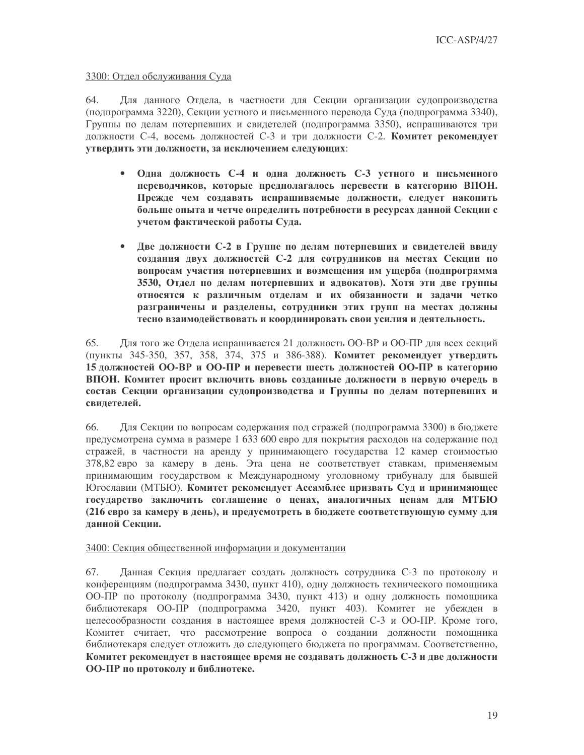### 3300: Отдел обслуживания Суда

64. Для данного Отдела, в частности для Секции организации судопроизводства (подпрограмма 3220), Секции устного и письменного перевода Суда (подпрограмма 3340), Группы по делам потерпевших и свидетелей (подпрограмма 3350), испрашиваются три должности С-4, восемь должностей С-3 и три должности С-2. Комитет рекомендует **УТВЕРДИТЬ ЭТИ ДОЛЖНОСТИ, ЗА ИСКЛЮЧЕНИЕМ СЛЕДУЮЩИХ:** 

- $\bullet$ Одна должность С-4 и одна должность С-3 устного и письменного переводчиков, которые предполагалось перевести в категорию ВПОН. Прежде чем создавать испрашиваемые должности, следует накопить больше опыта и четче определить потребности в ресурсах данной Секции с учетом фактической работы Суда.
- $\bullet$ Две должности С-2 в Группе по делам потерпевших и свидетелей ввиду создания двух должностей С-2 для сотрудников на местах Секции по вопросам участия потерпевших и возмещения им ущерба (подпрограмма 3530, Отдел по делам потерпевших и адвокатов). Хотя эти две группы относятся к различным отделам и их обязанности и задачи четко разграничены и разделены, сотрудники этих групп на местах должны тесно взаимодействовать и координировать свои усилия и деятельность.

65. Для того же Отдела испрашивается 21 должность ОО-ВР и ОО-ПР для всех секций (пункты 345-350, 357, 358, 374, 375 и 386-388). Комитет рекомендует утвердить 15 должностей ОО-ВР и ОО-ПР и перевести шесть должностей ОО-ПР в категорию ВПОН. Комитет просит включить вновь созданные должности в первую очередь в состав Секции организации судопроизводства и Группы по делам потерпевших и свилетелей.

66. Для Секции по вопросам содержания под стражей (подпрограмма 3300) в бюджете предусмотрена сумма в размере 1 633 600 евро для покрытия расходов на содержание под стражей, в частности на аренду у принимающего государства 12 камер стоимостью 378,82 евро за камеру в день. Эта цена не соответствует ставкам, применяемым принимающим государством к Международному уголовному трибуналу для бывшей Югославии (МТБЮ). Комитет рекомендует Ассамблее призвать Суд и принимающее государство заключить соглашение о ценах, аналогичных ценам для МТБЮ (216 евро за камеру в день), и предусмотреть в бюджете соответствующую сумму для ланной Секции.

### 3400: Секция общественной информации и документации

67. Данная Секция предлагает создать должность сотрудника С-3 по протоколу и конференциям (подпрограмма 3430, пункт 410), одну должность технического помощника ОО-ПР по протоколу (подпрограмма 3430, пункт 413) и одну должность помощника библиотекаря ОО-ПР (подпрограмма 3420, пункт 403). Комитет не убежден в целесообразности создания в настоящее время должностей С-3 и ОО-ПР. Кроме того, Комитет считает, что рассмотрение вопроса о создании должности помощника библиотекаря следует отложить до следующего бюджета по программам. Соответственно, Комитет рекомендует в настоящее время не создавать должность С-3 и две должности ОО-ПР по протоколу и библиотеке.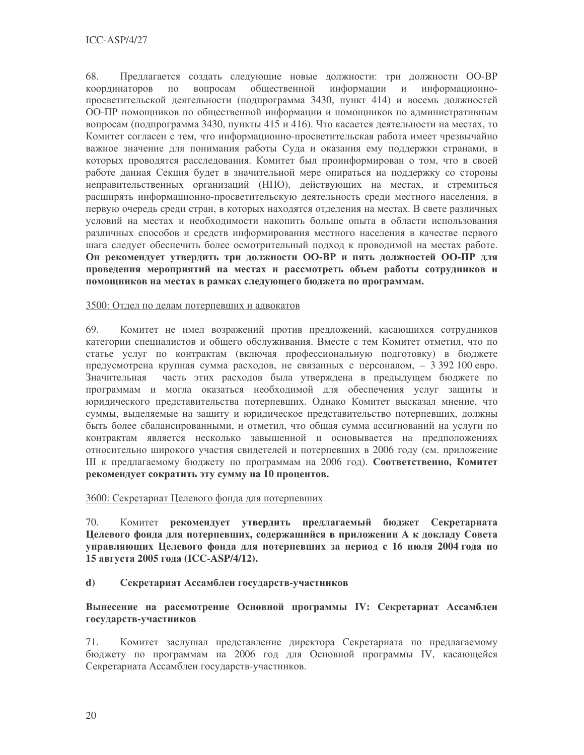68 Предлагается создать следующие новые должности: три должности ОО-ВР координаторов  $\Pi$ <sup>O</sup> вопросам общественной информации и информационнопросветительской деятельности (подпрограмма 3430, пункт 414) и восемь должностей ОО-ПР помощников по общественной информации и помощников по административным вопросам (подпрограмма 3430, пункты 415 и 416). Что касается деятельности на местах, то Комитет согласен с тем, что информационно-просветительская работа имеет чрезвычайно важное значение для понимания работы Суда и оказания ему поддержки странами, в которых проводятся расследования. Комитет был проинформирован о том, что в своей работе данная Секция будет в значительной мере опираться на поддержку со стороны неправительственных организаций (НПО), действующих на местах, и стремиться расширять информационно-просветительскую деятельность среди местного населения, в первую очередь среди стран, в которых находятся отделения на местах. В свете различных условий на местах и необходимости накопить больше опыта в области использования различных способов и средств информирования местного населения в качестве первого шага следует обеспечить более осмотрительный подход к проводимой на местах работе. Он рекомендует утвердить три должности ОО-ВР и пять должностей ОО-ПР для проведения мероприятий на местах и рассмотреть объем работы сотрудников и помощников на местах в рамках следующего бюджета по программам.

### 3500: Отдел по делам потерпевших и адвокатов

69. Комитет не имел возражений против предложений, касающихся сотрудников категории специалистов и общего обслуживания. Вместе с тем Комитет отметил, что по статье услуг по контрактам (включая профессиональную подготовку) в бюджете предусмотрена крупная сумма расходов, не связанных с персоналом, - 3 392 100 евро. Значительная часть этих расходов была утверждена в предыдущем бюджете по программам и могла оказаться необходимой для обеспечения услуг зашиты и юридического представительства потерпевших. Однако Комитет высказал мнение, что суммы, выделяемые на защиту и юридическое представительство потерпевших, должны быть более сбалансированными, и отметил, что общая сумма ассигнований на услуги по контрактам является несколько завышенной и основывается на предположениях относительно широкого участия свидетелей и потерпевших в 2006 году (см. приложение III к предлагаемому бюджету по программам на 2006 год). Соответственно, Комитет рекомендует сократить эту сумму на 10 процентов.

## 3600: Секретариат Целевого фонда для потерпевших

 $70 -$ Комитет рекомендует утвердить предлагаемый бюджет Секретариата Целевого фонда для потерпевших, содержащийся в приложении А к докладу Совета управляющих Целевого фонда для потерпевших за период с 16 июля 2004 года по 15 августа 2005 года (ICC-ASP/4/12).

#### d) Секретариат Ассамблеи государств-участников

# Вынесение на рассмотрение Основной программы IV: Секретариат Ассамблеи государств-участников

71. Комитет заслушал представление директора Секретариата по предлагаемому бюджету по программам на 2006 год для Основной программы IV, касающейся Секретариата Ассамблеи государств-участников.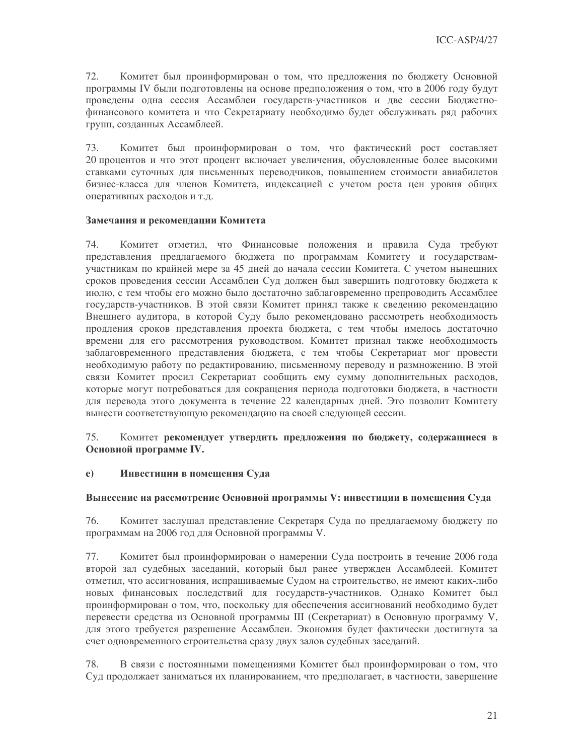72. Комитет был проинформирован о том, что предложения по бюджету Основной программы IV были подготовлены на основе предположения о том, что в 2006 году будут проведены одна сессия Ассамблеи государств-участников и две сессии Бюджетнофинансового комитета и что Секретариату необходимо будет обслуживать ряд рабочих групп, созданных Ассамблеей.

Комитет был проинформирован о том, что фактический рост составляет 73. 20 процентов и что этот процент включает увеличения, обусловленные более высокими ставками суточных для письменных переводчиков, повышением стоимости авиабилетов бизнес-класса для членов Комитета, индексацией с учетом роста цен уровня общих оперативных расходов и т.д.

### Замечания и рекомендации Комитета

74 Комитет отметил, что Финансовые положения и правила Суда требуют представления предлагаемого бюджета по программам Комитету и государствамучастникам по крайней мере за 45 дней до начала сессии Комитета. С учетом нынешних сроков проведения сессии Ассамблеи Суд должен был завершить подготовку бюджета к июлю, с тем чтобы его можно было достаточно заблаговременно препроводить Ассамблее государств-участников. В этой связи Комитет принял также к сведению рекомендацию Внешнего аудитора, в которой Суду было рекомендовано рассмотреть необходимость продления сроков представления проекта бюджета, с тем чтобы имелось достаточно времени для его рассмотрения руководством. Комитет признал также необходимость заблаговременного представления бюджета, с тем чтобы Секретариат мог провести необходимую работу по редактированию, письменному переводу и размножению. В этой связи Комитет просил Секретариат сообщить ему сумму дополнительных расходов, которые могут потребоваться для сокращения периода подготовки бюджета, в частности для перевода этого документа в течение 22 календарных дней. Это позволит Комитету вынести соответствующую рекомендацию на своей следующей сессии.

### 75. Комитет рекомендует утвердить предложения по бюджету, содержащиеся в Основной программе IV.

#### $e)$ Инвестиции в помещения Суда

### Вынесение на рассмотрение Основной программы V: инвестиции в помещения Суда

76. Комитет заслушал представление Секретаря Суда по предлагаемому бюджету по программам на 2006 год для Основной программы V.

77. Комитет был проинформирован о намерении Суда построить в течение 2006 года второй зал судебных заседаний, который был ранее утвержден Ассамблеей. Комитет отметил, что ассигнования, испрашиваемые Судом на строительство, не имеют каких-либо новых финансовых последствий для государств-участников. Однако Комитет был проинформирован о том, что, поскольку для обеспечения ассигнований необходимо будет перевести средства из Основной программы III (Секретариат) в Основную программу V, для этого требуется разрешение Ассамблеи. Экономия будет фактически достигнута за счет одновременного строительства сразу двух залов судебных заседаний.

78. В связи с постоянными помещениями Комитет был проинформирован о том, что Суд продолжает заниматься их планированием, что предполагает, в частности, завершение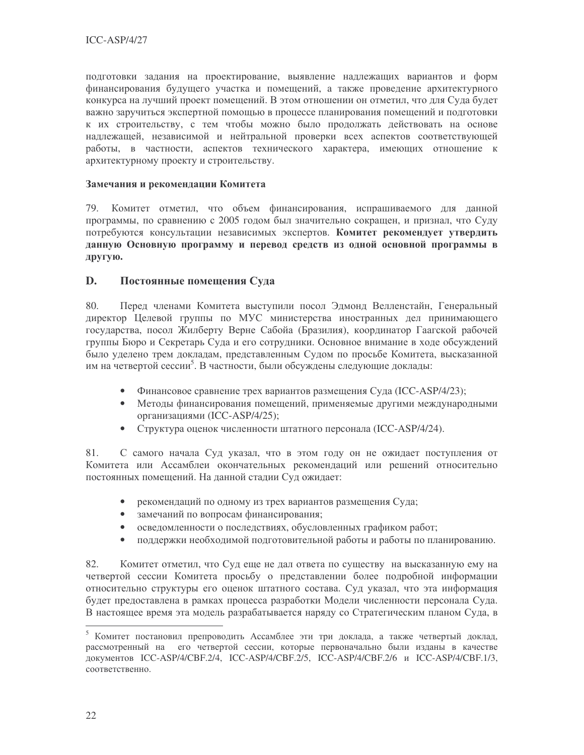подготовки задания на проектирование, выявление надлежащих вариантов и форм финансирования будущего участка и помещений, а также проведение архитектурного конкурса на лучший проект помещений. В этом отношении он отметил, что для Суда будет важно заручиться экспертной помощью в процессе планирования помещений и подготовки к их строительству, с тем чтобы можно было продолжать действовать на основе надлежащей, независимой и нейтральной проверки всех аспектов соответствующей работы, в частности, аспектов технического характера, имеющих отношение к архитектурному проекту и строительству.

## Замечания и рекомендации Комитета

79. Комитет отметил, что объем финансирования, испрашиваемого для данной программы, по сравнению с 2005 годом был значительно сокращен, и признал, что Суду потребуются консультации независимых экспертов. Комитет рекомендует утвердить данную Основную программу и перевод средств из одной основной программы в другую.

#### D. Постоянные помещения Суда

80. Перед членами Комитета выступили посол Эдмонд Велленстайн, Генеральный директор Целевой группы по МУС министерства иностранных дел принимающего государства, посол Жилберту Верне Сабойа (Бразилия), координатор Гаагской рабочей группы Бюро и Секретарь Сула и его сотрудники. Основное внимание в ходе обсуждений было уделено трем докладам, представленным Судом по просьбе Комитета, высказанной им на четвертой сессии<sup>5</sup>. В частности, были обсуждены следующие доклады:

- Финансовое сравнение трех вариантов размещения Суда (ICC-ASP/4/23);
- Методы финансирования помещений, применяемые другими международными организациями (ICC-ASP/4/25);
- Структура оценок численности штатного персонала (ICC-ASP/4/24).

81. С самого начала Суд указал, что в этом году он не ожидает поступления от Комитета или Ассамблеи окончательных рекомендаций или решений относительно постоянных помещений. На данной стадии Суд ожидает:

- рекомендаций по одному из трех вариантов размещения Суда;
- замечаний по вопросам финансирования;
- $\bullet$ осведомленности о последствиях, обусловленных графиком работ;
- $\bullet$ поддержки необходимой подготовительной работы и работы по планированию.

82. Комитет отметил, что Суд еще не дал ответа по существу на высказанную ему на четвертой сессии Комитета просьбу о представлении более подробной информации относительно структуры его оценок штатного состава. Суд указал, что эта информация будет предоставлена в рамках процесса разработки Модели численности персонала Суда. В настоящее время эта модель разрабатывается наряду со Стратегическим планом Суда, в

<sup>5</sup> Комитет постановил препроводить Ассамблее эти три доклада, а также четвертый доклад, рассмотренный на его четвертой сессии, которые первоначально были изданы в качестве документов ICC-ASP/4/CBF.2/4, ICC-ASP/4/CBF.2/5, ICC-ASP/4/CBF.2/6 и ICC-ASP/4/CBF.1/3, соответственно.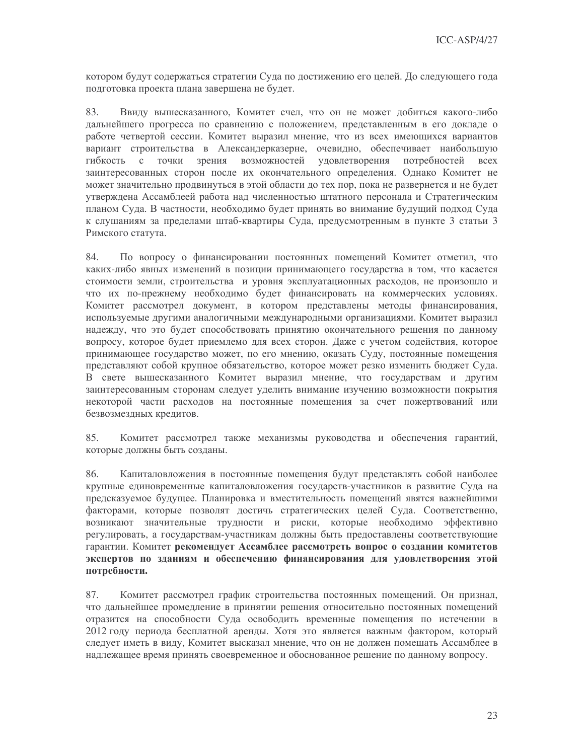котором будут содержаться стратегии Суда по достижению его целей. До следующего года подготовка проекта плана завершена не будет.

83. Ввиду вышесказанного, Комитет счел, что он не может добиться какого-либо дальнейшего прогресса по сравнению с положением, представленным в его докладе о работе четвертой сессии. Комитет выразил мнение, что из всех имеющихся вариантов вариант строительства в Александерказерне, очевидно, обеспечивает наибольшую гибкость  $\mathbf{c}$ точки зрения возможностей удовлетворения потребностей **BCCX** заинтересованных сторон после их окончательного определения. Однако Комитет не может значительно продвинуться в этой области до тех пор, пока не развернется и не будет утверждена Ассамблеей работа над численностью штатного персонала и Стратегическим планом Суда. В частности, необходимо будет принять во внимание будущий подход Суда к слушаниям за пределами штаб-квартиры Суда, предусмотренным в пункте 3 статьи 3 Римского статута.

По вопросу о финансировании постоянных помещений Комитет отметил, что 84. каких-либо явных изменений в позиции принимающего государства в том, что касается стоимости земли, строительства и уровня эксплуатационных расходов, не произошло и что их по-прежнему необходимо будет финансировать на коммерческих условиях. Комитет рассмотрел документ, в котором представлены методы финансирования, используемые другими аналогичными международными организациями. Комитет выразил надежду, что это будет способствовать принятию окончательного решения по данному вопросу, которое будет приемлемо для всех сторон. Даже с учетом содействия, которое принимающее государство может, по его мнению, оказать Суду, постоянные помещения представляют собой крупное обязательство, которое может резко изменить бюджет Суда. В свете вышесказанного Комитет выразил мнение, что государствам и другим заинтересованным сторонам следует уделить внимание изучению возможности покрытия некоторой части расходов на постоянные помещения за счет пожертвований или безвозмездных кредитов.

Комитет рассмотрел также механизмы руководства и обеспечения гарантий, 85. которые должны быть созданы.

86. Капиталовложения в постоянные помещения будут представлять собой наиболее крупные единовременные капиталовложения государств-участников в развитие Суда на предсказуемое будущее. Планировка и вместительность помещений явятся важнейшими факторами, которые позволят достичь стратегических целей Суда. Соответственно, возникают значительные трудности и риски, которые необходимо эффективно регулировать, а государствам-участникам должны быть предоставлены соответствующие гарантии. Комитет рекомендует Ассамблее рассмотреть вопрос о создании комитетов экспертов по зданиям и обеспечению финансирования для удовлетворения этой потребности.

87. Комитет рассмотрел график строительства постоянных помещений. Он признал, что дальнейшее промедление в принятии решения относительно постоянных помещений отразится на способности Суда освободить временные помещения по истечении в 2012 году периода бесплатной аренды. Хотя это является важным фактором, который следует иметь в виду, Комитет высказал мнение, что он не должен помешать Ассамблее в надлежащее время принять своевременное и обоснованное решение по данному вопросу.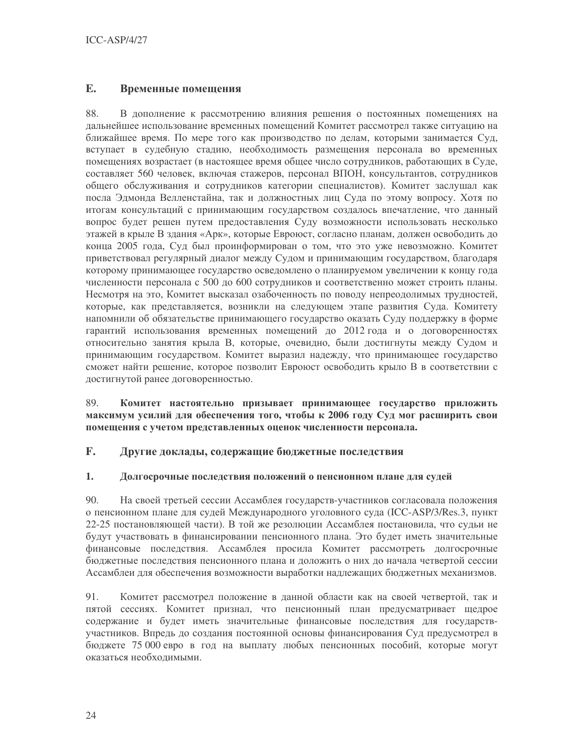#### $E_{\bullet}$ Временные помещения

88 В дополнение к рассмотрению влияния решения о постоянных помещениях на дальнейшее использование временных помещений Комитет рассмотрел также ситуацию на ближайшее время. По мере того как производство по делам, которыми занимается Суд, вступает в судебную стадию, необходимость размещения персонала во временных помещениях возрастает (в настоящее время общее число сотрудников, работающих в Суде, составляет 560 человек, включая стажеров, персонал ВПОН, консультантов, сотрудников общего обслуживания и сотрудников категории специалистов). Комитет заслушал как посла Эдмонда Велленстайна, так и должностных лиц Суда по этому вопросу. Хотя по итогам консультаций с принимающим государством создалось впечатление, что данный вопрос будет решен путем предоставления Суду возможности использовать несколько этажей в крыле В здания «Арк», которые Евроюст, согласно планам, должен освободить до конца 2005 года, Суд был проинформирован о том, что это уже невозможно. Комитет приветствовал регулярный диалог между Судом и принимающим государством, благодаря которому принимающее государство осведомлено о планируемом увеличении к концу года численности персонала с 500 до 600 сотрудников и соответственно может строить планы. Несмотря на это, Комитет высказал озабоченность по поводу непреодолимых трудностей, которые, как представляется, возникли на следующем этапе развития Суда. Комитету напомнили об обязательстве принимающего государство оказать Суду поддержку в форме гарантий использования временных помещений до 2012 года и о договоренностях относительно занятия крыла В, которые, очевидно, были достигнуты между Судом и принимающим государством. Комитет выразил надежду, что принимающее государство сможет найти решение, которое позволит Евроюст освободить крыло В в соответствии с достигнутой ранее договоренностью.

89. Комитет настоятельно призывает принимающее государство приложить максимум усилий для обеспечения того, чтобы к 2006 году Суд мог расширить свои помещения с учетом представленных оценок численности персонала.

#### $\mathbf{F}$ . Другие доклады, содержащие бюджетные последствия

#### 1. Долгосрочные последствия положений о пенсионном плане для судей

90. На своей третьей сессии Ассамблея государств-участников согласовала положения о пенсионном плане для судей Международного уголовного суда (ICC-ASP/3/Res.3, пункт 22-25 постановляющей части). В той же резолюции Ассамблея постановила, что судьи не будут участвовать в финансировании пенсионного плана. Это будет иметь значительные финансовые последствия. Ассамблея просила Комитет рассмотреть долгосрочные бюджетные последствия пенсионного плана и доложить о них до начала четвертой сессии Ассамблеи для обеспечения возможности выработки надлежащих бюджетных механизмов.

91. Комитет рассмотрел положение в данной области как на своей четвертой, так и пятой сессиях. Комитет признал, что пенсионный план предусматривает щедрое содержание и будет иметь значительные финансовые последствия для государствучастников. Впредь до создания постоянной основы финансирования Суд предусмотрел в бюджете 75 000 евро в год на выплату любых пенсионных пособий, которые могут оказаться необходимыми.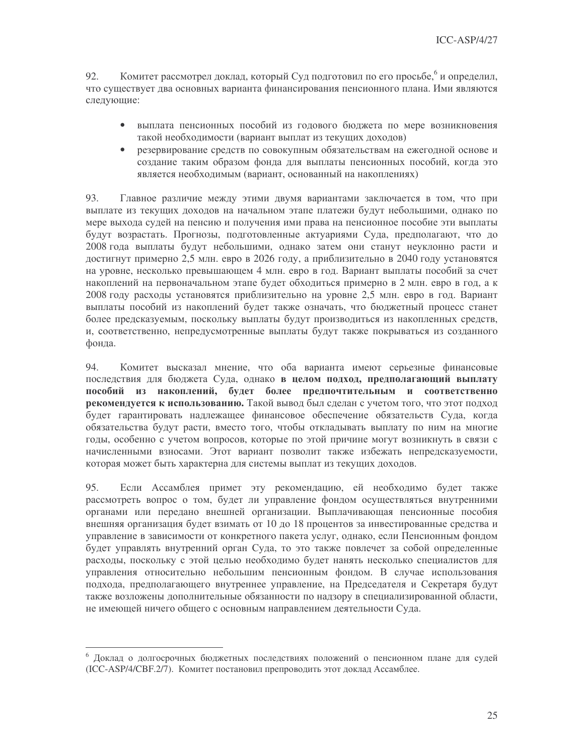Комитет рассмотрел доклад, который Суд подготовил по его просьбе, и определил,  $92<sub>1</sub>$ что существует два основных варианта финансирования пенсионного плана. Ими являются следующие:

- выплата пенсионных пособий из годового бюджета по мере возникновения такой необходимости (вариант выплат из текущих доходов)
- резервирование средств по совокупным обязательствам на ежегодной основе и  $\bullet$ создание таким образом фонда для выплаты пенсионных пособий, когда это является необходимым (вариант, основанный на накоплениях)

93. Главное различие между этими двумя вариантами заключается в том, что при выплате из текущих доходов на начальном этапе платежи будут небольшими, однако по мере выхода судей на пенсию и получения ими права на пенсионное пособие эти выплаты будут возрастать. Прогнозы, подготовленные актуариями Суда, предполагают, что до 2008 года выплаты будут небольшими, однако затем они станут неуклонно расти и достигнут примерно 2,5 млн. евро в 2026 году, а приблизительно в 2040 году установятся на уровне, несколько превышающем 4 млн. евро в год. Вариант выплаты пособий за счет накоплений на первоначальном этапе будет обходиться примерно в 2 млн. евро в год, а к 2008 году расходы установятся приблизительно на уровне 2,5 млн. евро в год. Вариант выплаты пособий из накоплений будет также означать, что бюджетный процесс станет более предсказуемым, поскольку выплаты будут производиться из накопленных средств, и, соответственно, непредусмотренные выплаты будут также покрываться из созданного фонда.

94. Комитет высказал мнение, что оба варианта имеют серьезные финансовые последствия для бюджета Суда, однако в целом подход, предполагающий выплату пособий из накоплений, будет более предпочтительным и соответственно рекомендуется к использованию. Такой вывод был сделан с учетом того, что этот подход будет гарантировать надлежащее финансовое обеспечение обязательств Суда, когда обязательства будут расти, вместо того, чтобы откладывать выплату по ним на многие годы, особенно с учетом вопросов, которые по этой причине могут возникнуть в связи с начисленными взносами. Этот вариант позволит также избежать непредсказуемости, которая может быть характерна для системы выплат из текущих доходов.

95. Если Ассамблея примет эту рекомендацию, ей необходимо будет также рассмотреть вопрос о том, будет ли управление фондом осуществляться внутренними органами или передано внешней организации. Выплачивающая пенсионные пособия внешняя организация будет взимать от 10 до 18 процентов за инвестированные средства и управление в зависимости от конкретного пакета услуг, однако, если Пенсионным фондом будет управлять внутренний орган Суда, то это также повлечет за собой определенные расходы, поскольку с этой целью необходимо будет нанять несколько специалистов для управления относительно небольшим пенсионным фондом. В случае использования подхода, предполагающего внутреннее управление, на Председателя и Секретаря будут также возложены дополнительные обязанности по надзору в специализированной области, не имеющей ничего общего с основным направлением деятельности Суда.

<sup>&</sup>lt;sup>6</sup> Доклад о долгосрочных бюджетных последствиях положений о пенсионном плане для судей (ICC-ASP/4/CBF.2/7). Комитет постановил препроводить этот доклад Ассамблее.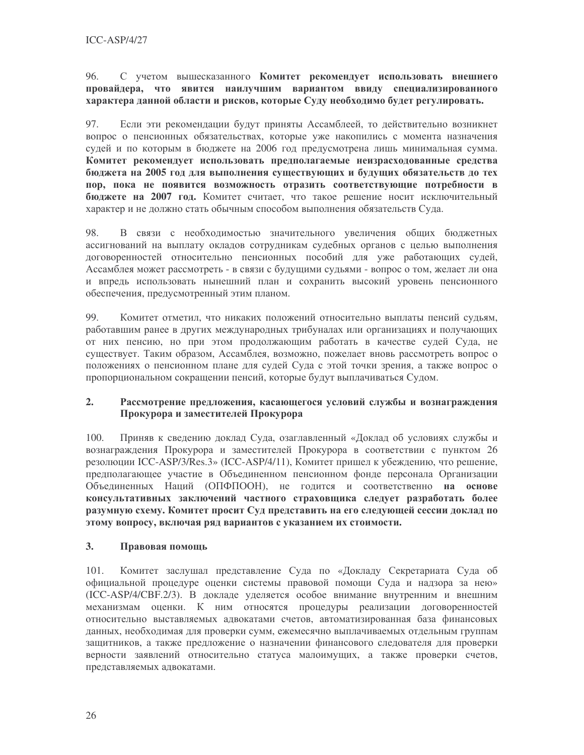96 С учетом вышесказанного Комитет рекомендует использовать внешнего провайдера, что явится наилучшим вариантом ввиду специализированного характера данной области и рисков, которые Суду необходимо будет регулировать.

97. Если эти рекомендации будут приняты Ассамблеей, то действительно возникнет вопрос о пенсионных обязательствах, которые уже накопились с момента назначения судей и по которым в бюджете на 2006 год предусмотрена лишь минимальная сумма. Комитет рекомендует использовать предполагаемые неизрасходованные средства бюджета на 2005 год для выполнения существующих и будущих обязательств до тех пор, пока не появится возможность отразить соответствующие потребности в бюджете на 2007 год. Комитет считает, что такое решение носит исключительный характер и не должно стать обычным способом выполнения обязательств Суда.

98. В связи с необходимостью значительного увеличения общих бюджетных ассигнований на выплату окладов сотрудникам судебных органов с целью выполнения договоренностей относительно пенсионных пособий для уже работающих судей, Ассамблея может рассмотреть - в связи с будущими судьями - вопрос о том, желает ли она и впредь использовать нынешний план и сохранить высокий уровень пенсионного обеспечения, предусмотренный этим планом.

99. Комитет отметил, что никаких положений относительно выплаты пенсий судьям, работавшим ранее в других международных трибуналах или организациях и получающих от них пенсию, но при этом продолжающим работать в качестве судей Суда, не существует. Таким образом, Ассамблея, возможно, пожелает вновь рассмотреть вопрос о положениях о пенсионном плане для судей Суда с этой точки зрения, а также вопрос о пропорциональном сокращении пенсий, которые будут выплачиваться Судом.

### $2.$ Рассмотрение предложения, касающегося условий службы и вознаграждения Прокурора и заместителей Прокурора

100. Приняв к сведению доклад Суда, озаглавленный «Доклад об условиях службы и вознаграждения Прокурора и заместителей Прокурора в соответствии с пунктом 26 резолюции ICC-ASP/3/Res.3» (ICC-ASP/4/11), Комитет пришел к убеждению, что решение, предполагающее участие в Объединенном пенсионном фонде персонала Организации Объединенных Наций (ОПФПООН), не годится и соответственно на основе консультативных заключений частного страховщика следует разработать более разумную схему. Комитет просит Суд представить на его следующей сессии доклад по этому вопросу, включая ряд вариантов с указанием их стоимости.

#### $3.$ Правовая помощь

101. Комитет заслушал представление Суда по «Докладу Секретариата Суда об официальной процедуре оценки системы правовой помощи Суда и надзора за нею» (ICC-ASP/4/CBF.2/3). В докладе уделяется особое внимание внутренним и внешним механизмам оценки. К ним относятся процедуры реализации договоренностей относительно выставляемых адвокатами счетов, автоматизированная база финансовых данных, необходимая для проверки сумм, ежемесячно выплачиваемых отдельным группам защитников, а также предложение о назначении финансового следователя для проверки верности заявлений относительно статуса малоимущих, а также проверки счетов, представляемых адвокатами.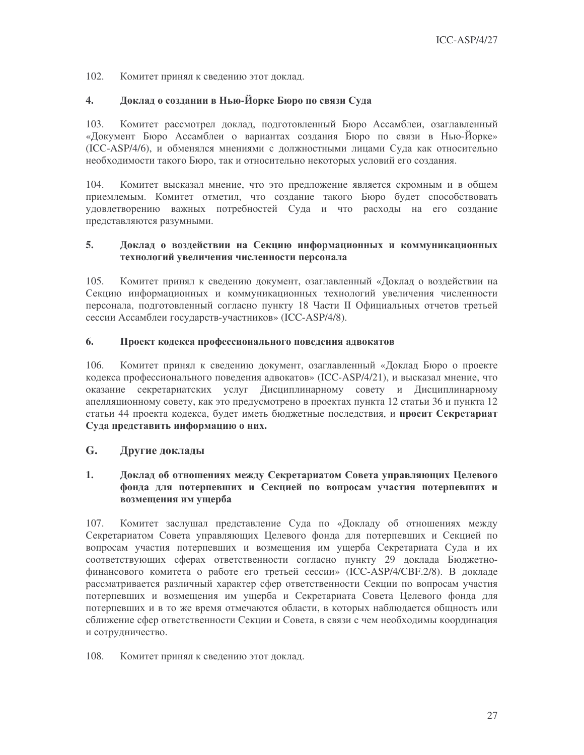$102<sub>1</sub>$ Комитет принял к сведению этот доклад.

#### $\overline{4}$ . Доклад о создании в Нью-Йорке Бюро по связи Суда

103. Комитет рассмотрел доклад, подготовленный Бюро Ассамблеи, озаглавленный «Документ Бюро Ассамблеи о вариантах создания Бюро по связи в Нью-Йорке» (ICC-ASP/4/6), и обменялся мнениями с должностными лицами Суда как относительно необходимости такого Бюро, так и относительно некоторых условий его создания.

104. Комитет высказал мнение, что это предложение является скромным и в общем приемлемым. Комитет отметил, что создание такого Бюро будет способствовать удовлетворению важных потребностей Суда и что расходы на его создание представляются разумными.

### 5. Доклад о воздействии на Секцию информационных и коммуникационных технологий увеличения численности персонала

Комитет принял к сведению документ, озаглавленный «Доклад о воздействии на 105. Секцию информационных и коммуникационных технологий увеличения численности персонала, подготовленный согласно пункту 18 Части II Официальных отчетов третьей сессии Ассамблеи государств-участников» (ICC-ASP/4/8).

#### 6. Проект кодекса профессионального поведения адвокатов

 $106.$ Комитет принял к сведению документ, озаглавленный «Доклад Бюро о проекте кодекса профессионального поведения адвокатов» (ICC-ASP/4/21), и высказал мнение, что оказание секретариатских услуг Дисциплинарному совету и Дисциплинарному апелляционному совету, как это предусмотрено в проектах пункта 12 статьи 36 и пункта 12 статьи 44 проекта кодекса, будет иметь бюджетные последствия, и просит Секретариат Суда представить информацию о них.

#### $G_{\cdot}$ Другие доклады

### $1.$ Доклад об отношениях между Секретариатом Совета управляющих Целевого фонда для потерпевших и Секцией по вопросам участия потерпевших и возмещения им ущерба

107. Комитет заслушал представление Суда по «Докладу об отношениях между Секретариатом Совета управляющих Целевого фонда для потерпевших и Секцией по вопросам участия потерпевших и возмещения им ущерба Секретариата Суда и их соответствующих сферах ответственности согласно пункту 29 доклада Бюджетнофинансового комитета о работе его третьей сессии» (ICC-ASP/4/CBF.2/8). В докладе рассматривается различный характер сфер ответственности Секции по вопросам участия потерпевших и возмещения им ущерба и Секретариата Совета Целевого фонда для потерпевших и в то же время отмечаются области, в которых наблюдается общность или сближение сфер ответственности Секции и Совета, в связи с чем необходимы координация и сотрудничество.

#### 108. Комитет принял к сведению этот доклад.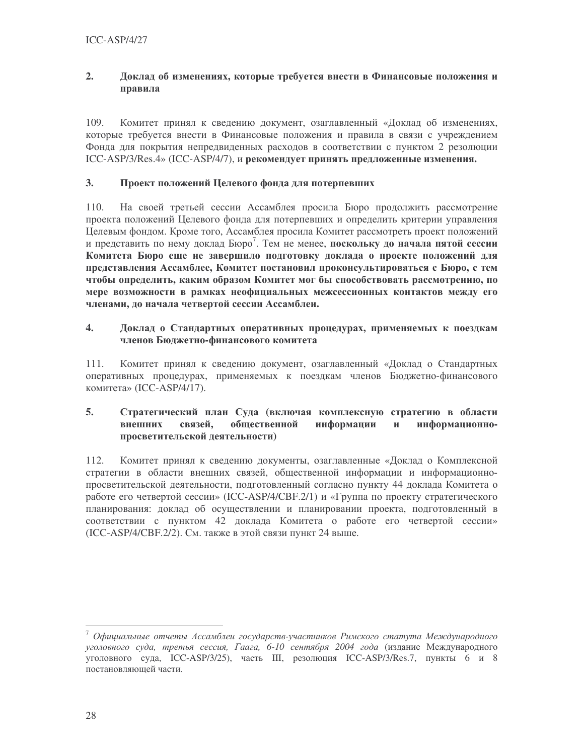### $2.$ Доклад об изменениях, которые требуется внести в Финансовые положения и правила

109. Комитет принял к сведению документ, озаглавленный «Доклад об изменениях, которые требуется внести в Финансовые положения и правила в связи с учреждением Фонда для покрытия непредвиденных расходов в соответствии с пунктом 2 резолюции ICC-ASP/3/Res.4» (ICC-ASP/4/7), и рекомендует принять предложенные изменения.

#### $3.$ Проект положений Целевого фонда для потерпевших

 $110.$ На своей третьей сессии Ассамблея просила Бюро продолжить рассмотрение проекта положений Целевого фонда для потерпевших и определить критерии управления Целевым фондом. Кроме того, Ассамблея просила Комитет рассмотреть проект положений и представить по нему доклад Бюро<sup>7</sup>. Тем не менее, **поскольку до начала пятой сессии** Комитета Бюро еще не завершило подготовку доклада о проекте положений для представления Ассамблее, Комитет постановил проконсультироваться с Бюро, с тем чтобы определить, каким образом Комитет мог бы способствовать рассмотрению, по мере возможности в рамках неофициальных межсессионных контактов между его членами, до начала четвертой сессии Ассамблеи.

### $\overline{4}$ . Доклад о Стандартных оперативных процедурах, применяемых к поездкам членов Бюджетно-финансового комитета

111. Комитет принял к сведению документ, озаглавленный «Доклад о Стандартных оперативных процедурах, применяемых к поездкам членов Бюджетно-финансового комитета» (ICC-ASP/4/17).

#### $5<sub>1</sub>$ Стратегический план Суда (включая комплексную стратегию в области связей. общественной информации  $\mathbf{M}$ информационновнешних просветительской деятельности)

Комитет принял к сведению документы, озаглавленные «Доклад о Комплексной 112. стратегии в области внешних связей, общественной информации и информационнопросветительской деятельности, подготовленный согласно пункту 44 доклада Комитета о работе его четвертой сессии» (ICC-ASP/4/CBF.2/1) и «Группа по проекту стратегического планирования: доклад об осуществлении и планировании проекта, подготовленный в соответствии с пунктом 42 локлала Комитета о работе его четвертой сессии» (ICC-ASP/4/CBF.2/2). См. также в этой связи пункт 24 выше.

 $7$  Официальные отчеты Ассамблеи государств-участников Римского статута Международного уголовного суда, третья сессия, Гаага, 6-10 сентября 2004 года (издание Международного уголовного суда, ICC-ASP/3/25), часть III, резолюция ICC-ASP/3/Res.7, пункты 6 и 8 постановляющей части.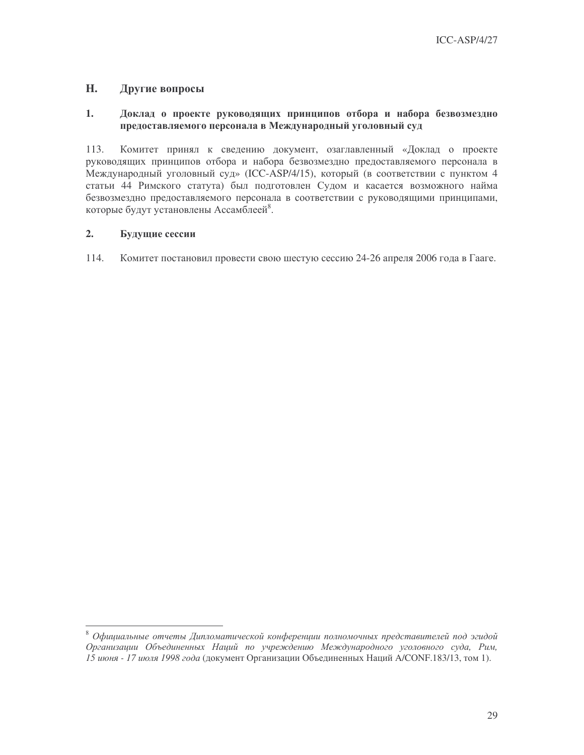#### H. Другие вопросы

### $1.$ Доклад о проекте руководящих принципов отбора и набора безвозмездно предоставляемого персонала в Международный уголовный суд

113. Комитет принял к сведению документ, озаглавленный «Доклад о проекте руководящих принципов отбора и набора безвозмездно предоставляемого персонала в Международный уголовный суд» (ICC-ASP/4/15), который (в соответствии с пунктом 4 статьи 44 Римского статута) был подготовлен Судом и касается возможного найма безвозмездно предоставляемого персонала в соответствии с руководящими принципами, которые будут установлены Ассамблеей<sup>8</sup>.

#### $2.$ Будущие сессии

114. Комитет постановил провести свою шестую сессию 24-26 апреля 2006 года в Гааге.

 $^8$  Официальные отчеты Дипломатической конференции полномочных представителей под эгидой Организации Объединенных Наций по учреждению Международного уголовного суда, Рим, 15 июня - 17 июля 1998 года (документ Организации Объединенных Наций A/CONF.183/13, том 1).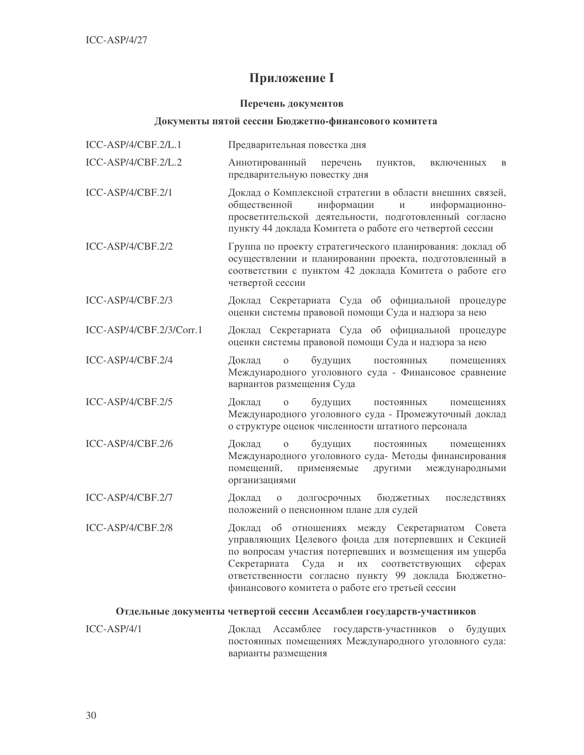# **Приложение I**

### Перечень документов

### Документы пятой сессии Бюджетно-финансового комитета

| ICC-ASP/4/CBF.2/L.1      | Предварительная повестка дня                                                                                                                                                                                                                                                                                                                                     |
|--------------------------|------------------------------------------------------------------------------------------------------------------------------------------------------------------------------------------------------------------------------------------------------------------------------------------------------------------------------------------------------------------|
| ICC-ASP/4/CBF.2/L.2      | Аннотированный<br>перечень<br>пунктов,<br>включенных<br>B<br>предварительную повестку дня                                                                                                                                                                                                                                                                        |
| ICC-ASP/4/CBF.2/1        | Доклад о Комплексной стратегии в области внешних связей,<br>общественной<br>информации<br>информационно-<br>просветительской деятельности, подготовленный согласно<br>пункту 44 доклада Комитета о работе его четвертой сессии                                                                                                                                   |
| ICC-ASP/4/CBF.2/2        | Группа по проекту стратегического планирования: доклад об<br>осуществлении и планировании проекта, подготовленный в<br>соответствии с пунктом 42 доклада Комитета о работе его<br>четвертой сессии                                                                                                                                                               |
| ICC-ASP/4/CBF.2/3        | Доклад Секретариата Суда об официальной процедуре<br>оценки системы правовой помощи Суда и надзора за нею                                                                                                                                                                                                                                                        |
| ICC-ASP/4/CBF.2/3/Corr.1 | Доклад Секретариата Суда об официальной процедуре<br>оценки системы правовой помощи Суда и надзора за нею                                                                                                                                                                                                                                                        |
| ICC-ASP/4/CBF.2/4        | Доклад<br>будущих<br>$\overline{O}$<br>постоянных<br>помещениях<br>Международного уголовного суда - Финансовое сравнение<br>вариантов размещения Суда                                                                                                                                                                                                            |
| ICC-ASP/4/CBF.2/5        | Доклад<br>будущих<br>$\overline{O}$<br>ПОСТОЯННЫХ<br>помещениях<br>Международного уголовного суда - Промежуточный доклад<br>о структуре оценок численности штатного персонала                                                                                                                                                                                    |
| ICC-ASP/4/CBF.2/6        | будущих<br>Доклад<br>$\mathbf 0$<br>постоянных<br>помещениях<br>Международного уголовного суда- Методы финансирования<br>помещений,<br>применяемые<br>международными<br>другими<br>организациями                                                                                                                                                                 |
| ICC-ASP/4/CBF.2/7        | долгосрочных<br>бюджетных<br>Доклад<br>$\mathbf{O}$<br>последствиях<br>положений о пенсионном плане для судей                                                                                                                                                                                                                                                    |
| ICC-ASP/4/CBF.2/8        | об отношениях между Секретариатом<br>Совета<br>Доклад<br>управляющих Целевого фонда для потерпевших и Секцией<br>по вопросам участия потерпевших и возмещения им ущерба<br>сферах<br>Секретариата<br>Суда<br>$\,$ $\,$ $\,$<br>ИХ<br>соответствующих<br>ответственности согласно пункту 99 доклада Бюджетно-<br>финансового комитета о работе его третьей сессии |

# Отдельные документы четвертой сессии Ассамблеи государств-участников

 $ICC-ASP/4/1$ Доклад Ассамблее государств-участников о будущих постоянных помещениях Международного уголовного суда: варианты размещения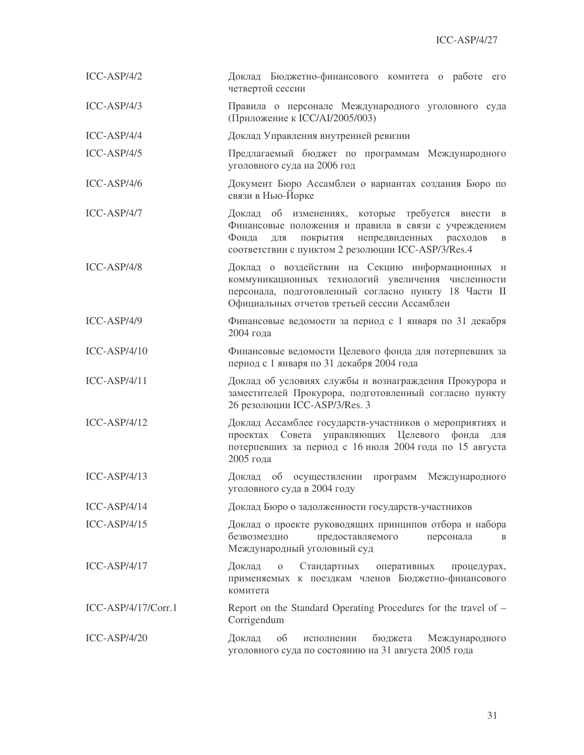| $ICC-ASP/4/2$         | Доклад Бюджетно-финансового комитета о работе его<br>четвертой сессии                                                                                                                                                   |
|-----------------------|-------------------------------------------------------------------------------------------------------------------------------------------------------------------------------------------------------------------------|
| $ICC-ASP/4/3$         | Правила о персонале Международного уголовного суда<br>(Приложение к ICC/AI/2005/003)                                                                                                                                    |
| ICC-ASP/4/4           | Доклад Управления внутренней ревизии                                                                                                                                                                                    |
| $ICC-ASP/4/5$         | Предлагаемый бюджет по программам Международного<br>уголовного суда на 2006 год                                                                                                                                         |
| $ICC-ASP/4/6$         | Документ Бюро Ассамблеи о вариантах создания Бюро по<br>связи в Нью-Йорке                                                                                                                                               |
| ICC-ASP/4/7           | Доклад об изменениях, которые требуется внести в<br>Финансовые положения и правила в связи с учреждением<br>Фонда<br>покрытия непредвиденных расходов<br>ДЛЯ<br>B<br>соответствии с пунктом 2 резолюции ICC-ASP/3/Res.4 |
| $ICC-ASP/4/8$         | Доклад о воздействии на Секцию информационных и<br>коммуникационных технологий увеличения численности<br>персонала, подготовленный согласно пункту 18 Части II<br>Официальных отчетов третьей сессии Ассамблеи          |
| $ICC-ASP/4/9$         | Финансовые ведомости за период с 1 января по 31 декабря<br>2004 года                                                                                                                                                    |
| $ICC-ASP/4/10$        | Финансовые ведомости Целевого фонда для потерпевших за<br>период с 1 января по 31 декабря 2004 года                                                                                                                     |
| $ICC-ASP/4/11$        | Доклад об условиях службы и вознаграждения Прокурора и<br>заместителей Прокурора, подготовленный согласно пункту<br>26 резолюции ICC-ASP/3/Res. 3                                                                       |
| $ICC-ASP/4/12$        | Доклад Ассамблее государств-участников о мероприятиях и<br>Совета управляющих Целевого<br>проектах<br>фонда<br>ДЛЯ<br>потерпевших за период с 16 июля 2004 года по 15 августа<br>2005 года                              |
| $ICC-ASP/4/13$        | Доклад<br>об<br>осуществлении<br>программ<br>Международного<br>уголовного суда в 2004 году                                                                                                                              |
| $ICC-ASP/4/14$        | Доклад Бюро о задолженности государств-участников                                                                                                                                                                       |
| $ICC-ASP/4/15$        | Доклад о проекте руководящих принципов отбора и набора<br>безвозмездно<br>предоставляемого<br>персонала<br>B<br>Международный уголовный суд                                                                             |
| $ICC-ASP/4/17$        | Доклад<br>$\mathbf 0$<br>Стандартных<br>оперативных<br>процедурах,<br>применяемых к поездкам членов Бюджетно-финансового<br>комитета                                                                                    |
| $ICC-ASP/4/17/Corr.1$ | Report on the Standard Operating Procedures for the travel of -<br>Corrigendum                                                                                                                                          |
| $ICC-ASP/4/20$        | Доклад<br>бюджета<br>об<br>Международного<br>исполнении<br>уголовного суда по состоянию на 31 августа 2005 года                                                                                                         |